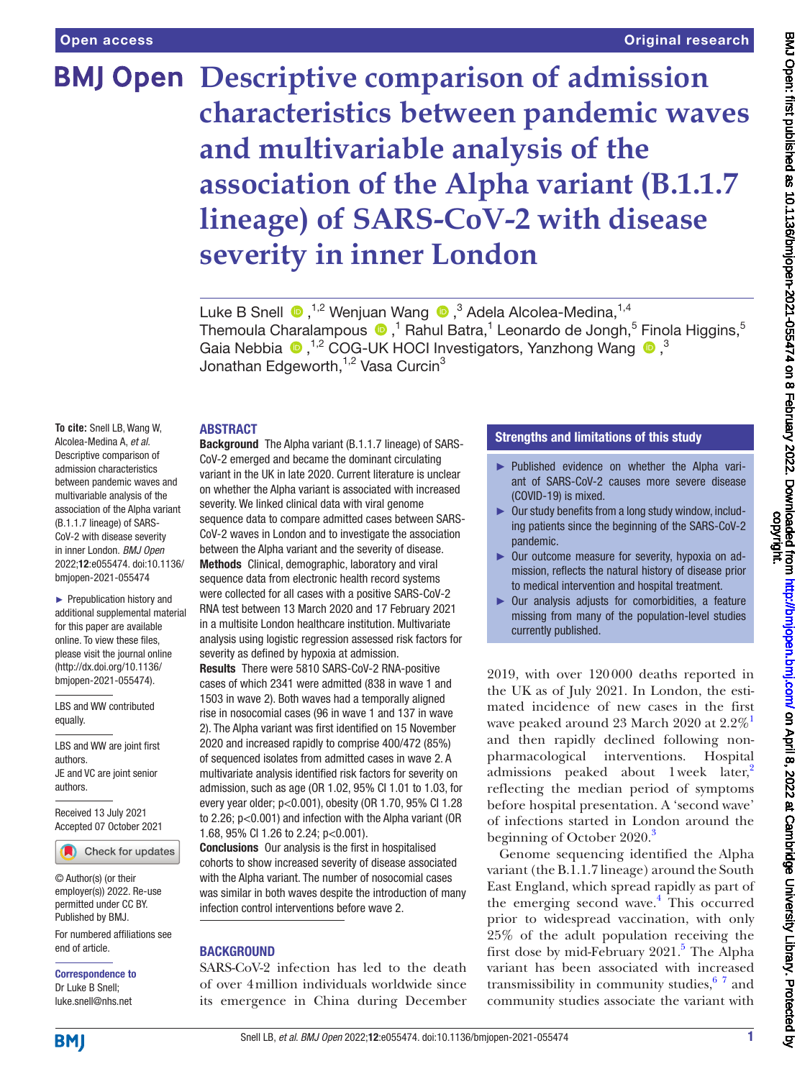# **BMJ Open Descriptive comparison of admission characteristics between pandemic waves and multivariable analysis of the association of the Alpha variant (B.1.1.7 lineage) of SARS-CoV-2 with disease severity in inner London**

LukeB Snell  $\bullet$  ,<sup>1,2</sup> Wenjuan Wang  $\bullet$  ,<sup>3</sup> Adela Alcolea-Medina,<sup>1,4</sup> ThemoulaCharalampous  $\bullet$  ,<sup>1</sup> Rahul Batra,<sup>1</sup> Leonardo de Jongh,<sup>5</sup> Finola Higgins,<sup>5</sup> Gaia Nebbia  $\bullet$ , <sup>1,2</sup> COG-UK HOCI Investigators, Yanzhong Wang  $\bullet$ ,<sup>3</sup> Jonathan Edgeworth, $1,2$  Vasa Curcin<sup>3</sup>

### ABSTRACT

**To cite:** Snell LB, Wang W, Alcolea-Medina A, *et al*. Descriptive comparison of admission characteristics between pandemic waves and multivariable analysis of the association of the Alpha variant (B.1.1.7 lineage) of SARS-CoV-2 with disease severity in inner London. *BMJ Open* 2022;12:e055474. doi:10.1136/ bmjopen-2021-055474

► Prepublication history and additional supplemental material for this paper are available online. To view these files, please visit the journal online [\(http://dx.doi.org/10.1136/](http://dx.doi.org/10.1136/bmjopen-2021-055474) [bmjopen-2021-055474](http://dx.doi.org/10.1136/bmjopen-2021-055474)).

LBS and WW contributed equally.

LBS and WW are joint first authors. JE and VC are joint senior authors.

Received 13 July 2021 Accepted 07 October 2021

Check for updates

© Author(s) (or their employer(s)) 2022. Re-use permitted under CC BY. Published by BMJ.

For numbered affiliations see end of article.

Correspondence to Dr Luke B Snell; luke.snell@nhs.net

Background The Alpha variant (B.1.1.7 lineage) of SARS-CoV-2 emerged and became the dominant circulating variant in the UK in late 2020. Current literature is unclear on whether the Alpha variant is associated with increased severity. We linked clinical data with viral genome sequence data to compare admitted cases between SARS-CoV-2 waves in London and to investigate the association between the Alpha variant and the severity of disease. Methods Clinical, demographic, laboratory and viral sequence data from electronic health record systems were collected for all cases with a positive SARS-CoV-2 RNA test between 13 March 2020 and 17 February 2021 in a multisite London healthcare institution. Multivariate analysis using logistic regression assessed risk factors for severity as defined by hypoxia at admission.

Results There were 5810 SARS-CoV-2 RNA-positive cases of which 2341 were admitted (838 in wave 1 and 1503 in wave 2). Both waves had a temporally aligned rise in nosocomial cases (96 in wave 1 and 137 in wave 2). The Alpha variant was first identified on 15 November 2020 and increased rapidly to comprise 400/472 (85%) of sequenced isolates from admitted cases in wave 2. A multivariate analysis identified risk factors for severity on admission, such as age (OR 1.02, 95% CI 1.01 to 1.03, for every year older; p<0.001), obesity (OR 1.70, 95% CI 1.28 to 2.26; p<0.001) and infection with the Alpha variant (OR 1.68, 95% CI 1.26 to 2.24; p<0.001).

Conclusions Our analysis is the first in hospitalised cohorts to show increased severity of disease associated with the Alpha variant. The number of nosocomial cases was similar in both waves despite the introduction of many infection control interventions before wave 2.

### **BACKGROUND**

SARS-CoV-2 infection has led to the death of over 4million individuals worldwide since its emergence in China during December

### Strengths and limitations of this study

- ► Published evidence on whether the Alpha variant of SARS-CoV-2 causes more severe disease (COVID-19) is mixed.
- ► Our study benefits from a long study window, including patients since the beginning of the SARS-CoV-2 pandemic.
- ► Our outcome measure for severity, hypoxia on admission, reflects the natural history of disease prior to medical intervention and hospital treatment.
- ► Our analysis adjusts for comorbidities, a feature missing from many of the population-level studies currently published.

2019, with over 120000 deaths reported in the UK as of July 2021. In London, the estimated incidence of new cases in the first wave peaked around 23 March 2020 at 2.2%<sup>1</sup> and then rapidly declined following nonpharmacological interventions. Hospital admissions peaked about  $1$  week later,<sup>[2](#page-11-1)</sup> reflecting the median period of symptoms before hospital presentation. A 'second wave' of infections started in London around the beginning of October 2020.<sup>[3](#page-11-2)</sup>

Genome sequencing identified the Alpha variant (the B.1.1.7 lineage) around the South East England, which spread rapidly as part of the emerging second wave.<sup>[4](#page-11-3)</sup> This occurred prior to widespread vaccination, with only 25% of the adult population receiving the first dose by mid-February 2021.<sup>[5](#page-11-4)</sup> The Alpha variant has been associated with increased transmissibility in community studies, $67$  $67$  and community studies associate the variant with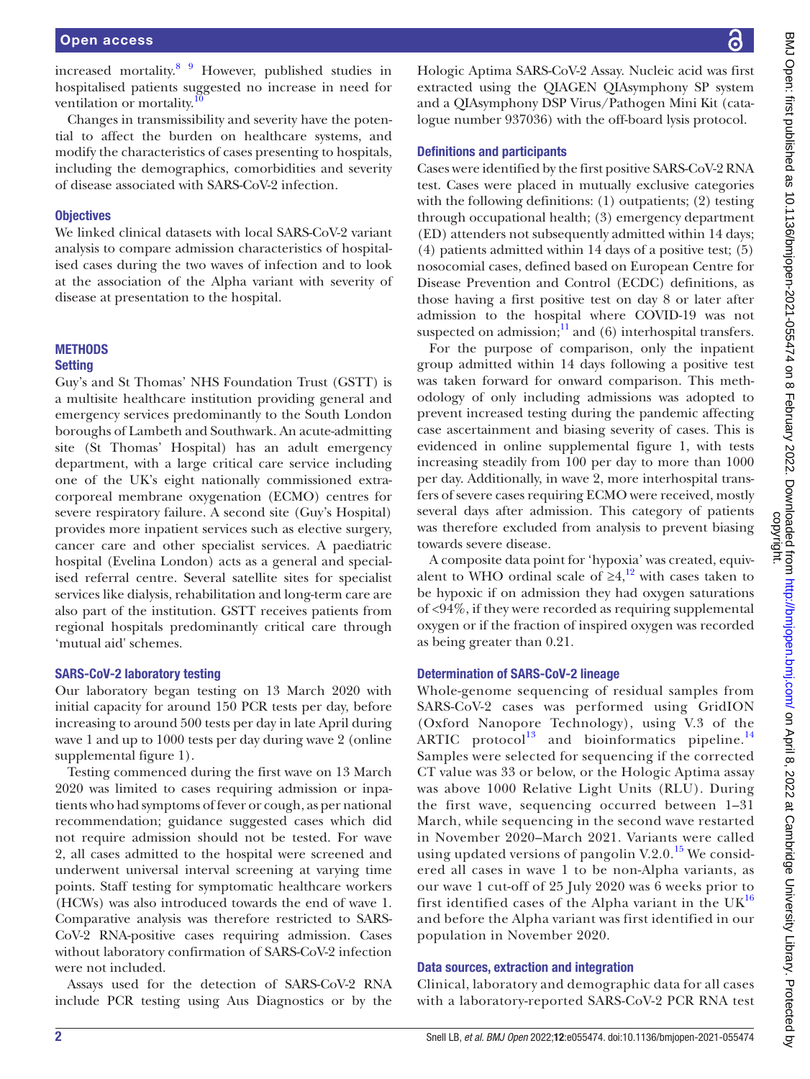increased mortality.<sup>[8](#page-11-7)</sup> <sup>[9](#page-11-8)</sup> However, published studies in hospitalised patients suggested no increase in need for ventilation or mortality.<sup>[10](#page-11-9)</sup>

Changes in transmissibility and severity have the potential to affect the burden on healthcare systems, and modify the characteristics of cases presenting to hospitals, including the demographics, comorbidities and severity of disease associated with SARS-CoV-2 infection.

### **Objectives**

We linked clinical datasets with local SARS-CoV-2 variant analysis to compare admission characteristics of hospitalised cases during the two waves of infection and to look at the association of the Alpha variant with severity of disease at presentation to the hospital.

### **METHODS**

### **Setting**

Guy's and St Thomas' NHS Foundation Trust (GSTT) is a multisite healthcare institution providing general and emergency services predominantly to the South London boroughs of Lambeth and Southwark. An acute-admitting site (St Thomas' Hospital) has an adult emergency department, with a large critical care service including one of the UK's eight nationally commissioned extracorporeal membrane oxygenation (ECMO) centres for severe respiratory failure. A second site (Guy's Hospital) provides more inpatient services such as elective surgery, cancer care and other specialist services. A paediatric hospital (Evelina London) acts as a general and specialised referral centre. Several satellite sites for specialist services like dialysis, rehabilitation and long-term care are also part of the institution. GSTT receives patients from regional hospitals predominantly critical care through 'mutual aid' schemes.

### SARS-CoV-2 laboratory testing

Our laboratory began testing on 13 March 2020 with initial capacity for around 150 PCR tests per day, before increasing to around 500 tests per day in late April during wave 1 and up to 1000 tests per day during wave 2 [\(online](https://dx.doi.org/10.1136/bmjopen-2021-055474) [supplemental figure 1](https://dx.doi.org/10.1136/bmjopen-2021-055474)).

Testing commenced during the first wave on 13 March 2020 was limited to cases requiring admission or inpatients who had symptoms of fever or cough, as per national recommendation; guidance suggested cases which did not require admission should not be tested. For wave 2, all cases admitted to the hospital were screened and underwent universal interval screening at varying time points. Staff testing for symptomatic healthcare workers (HCWs) was also introduced towards the end of wave 1. Comparative analysis was therefore restricted to SARS-CoV-2 RNA-positive cases requiring admission. Cases without laboratory confirmation of SARS-CoV-2 infection were not included.

Assays used for the detection of SARS-CoV-2 RNA include PCR testing using Aus Diagnostics or by the

Hologic Aptima SARS-CoV-2 Assay. Nucleic acid was first extracted using the QIAGEN QIAsymphony SP system and a QIAsymphony DSP Virus/Pathogen Mini Kit (catalogue number 937036) with the off-board lysis protocol.

### Definitions and participants

Cases were identified by the first positive SARS-CoV-2 RNA test. Cases were placed in mutually exclusive categories with the following definitions: (1) outpatients; (2) testing through occupational health; (3) emergency department (ED) attenders not subsequently admitted within 14 days; (4) patients admitted within 14 days of a positive test; (5) nosocomial cases, defined based on European Centre for Disease Prevention and Control (ECDC) definitions, as those having a first positive test on day 8 or later after admission to the hospital where COVID-19 was not suspected on admission; $^{11}$  and (6) interhospital transfers.

For the purpose of comparison, only the inpatient group admitted within 14 days following a positive test was taken forward for onward comparison. This methodology of only including admissions was adopted to prevent increased testing during the pandemic affecting case ascertainment and biasing severity of cases. This is evidenced in [online supplemental figure 1,](https://dx.doi.org/10.1136/bmjopen-2021-055474) with tests increasing steadily from 100 per day to more than 1000 per day. Additionally, in wave 2, more interhospital transfers of severe cases requiring ECMO were received, mostly several days after admission. This category of patients was therefore excluded from analysis to prevent biasing towards severe disease.

A composite data point for 'hypoxia' was created, equivalent to WHO ordinal scale of  $\geq 4$ ,<sup>12</sup> with cases taken to be hypoxic if on admission they had oxygen saturations of <94%, if they were recorded as requiring supplemental oxygen or if the fraction of inspired oxygen was recorded as being greater than 0.21.

### Determination of SARS-CoV-2 lineage

Whole-genome sequencing of residual samples from SARS-CoV-2 cases was performed using GridION (Oxford Nanopore Technology), using V.3 of the ARTIC protocol<sup>[13](#page-11-12)</sup> and bioinformatics pipeline.<sup>[14](#page-11-13)</sup> Samples were selected for sequencing if the corrected CT value was 33 or below, or the Hologic Aptima assay was above 1000 Relative Light Units (RLU). During the first wave, sequencing occurred between 1–31 March, while sequencing in the second wave restarted in November 2020–March 2021. Variants were called using updated versions of pangolin V.2.0.<sup>[15](#page-11-14)</sup> We considered all cases in wave 1 to be non-Alpha variants, as our wave 1 cut-off of 25 July 2020 was 6 weeks prior to first identified cases of the Alpha variant in the  $UK^{16}$  $UK^{16}$  $UK^{16}$ and before the Alpha variant was first identified in our population in November 2020.

### Data sources, extraction and integration

Clinical, laboratory and demographic data for all cases with a laboratory-reported SARS-CoV-2 PCR RNA test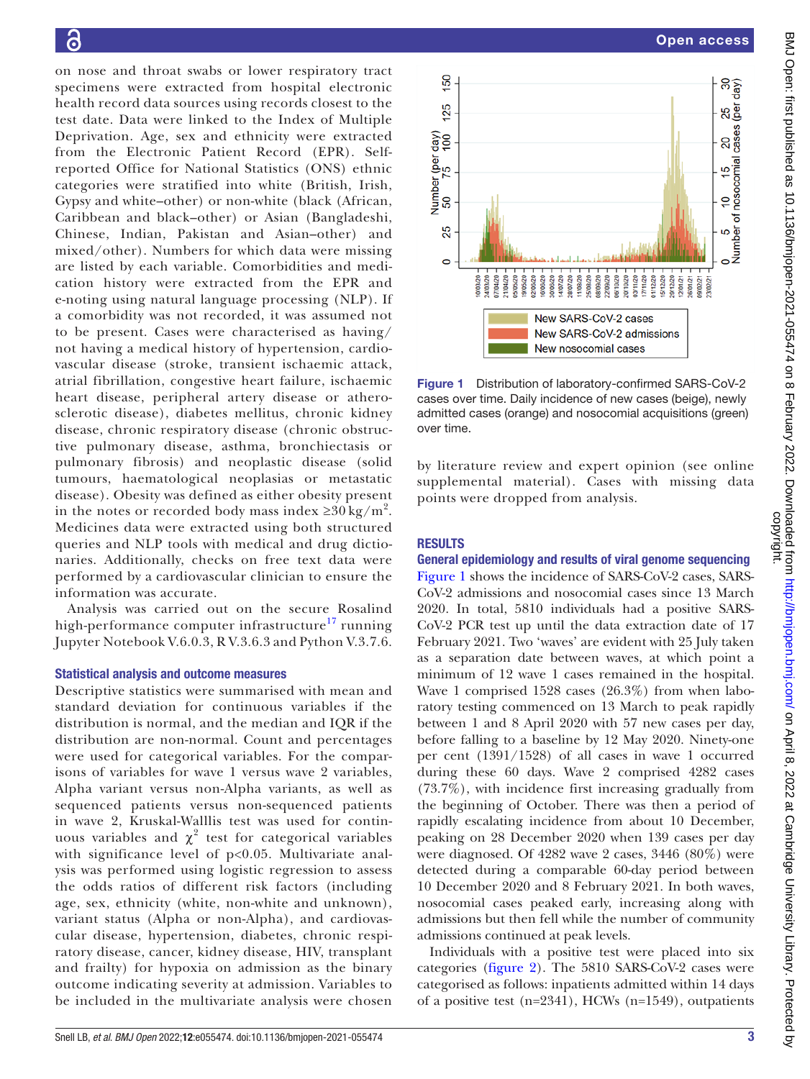on nose and throat swabs or lower respiratory tract specimens were extracted from hospital electronic health record data sources using records closest to the test date. Data were linked to the Index of Multiple Deprivation. Age, sex and ethnicity were extracted from the Electronic Patient Record (EPR). Selfreported Office for National Statistics (ONS) ethnic categories were stratified into white (British, Irish, Gypsy and white–other) or non-white (black (African, Caribbean and black–other) or Asian (Bangladeshi, Chinese, Indian, Pakistan and Asian–other) and mixed/other). Numbers for which data were missing are listed by each variable. Comorbidities and medication history were extracted from the EPR and e-noting using natural language processing (NLP). If a comorbidity was not recorded, it was assumed not to be present. Cases were characterised as having/ not having a medical history of hypertension, cardiovascular disease (stroke, transient ischaemic attack, atrial fibrillation, congestive heart failure, ischaemic heart disease, peripheral artery disease or atherosclerotic disease), diabetes mellitus, chronic kidney disease, chronic respiratory disease (chronic obstructive pulmonary disease, asthma, bronchiectasis or pulmonary fibrosis) and neoplastic disease (solid tumours, haematological neoplasias or metastatic disease). Obesity was defined as either obesity present in the notes or recorded body mass index  $\geq 30 \text{ kg/m}^2$ . Medicines data were extracted using both structured queries and NLP tools with medical and drug dictionaries. Additionally, checks on free text data were performed by a cardiovascular clinician to ensure the information was accurate.

Analysis was carried out on the secure Rosalind high-performance computer infrastructure $^{17}$  running Jupyter Notebook V.6.0.3, R V.3.6.3 and Python V.3.7.6.

### Statistical analysis and outcome measures

Descriptive statistics were summarised with mean and standard deviation for continuous variables if the distribution is normal, and the median and IQR if the distribution are non-normal. Count and percentages were used for categorical variables. For the comparisons of variables for wave 1 versus wave 2 variables, Alpha variant versus non-Alpha variants, as well as sequenced patients versus non-sequenced patients in wave 2, Kruskal-Walllis test was used for continuous variables and  $\chi^2$  test for categorical variables with significance level of p<0.05. Multivariate analysis was performed using logistic regression to assess the odds ratios of different risk factors (including age, sex, ethnicity (white, non-white and unknown), variant status (Alpha or non-Alpha), and cardiovascular disease, hypertension, diabetes, chronic respiratory disease, cancer, kidney disease, HIV, transplant and frailty) for hypoxia on admission as the binary outcome indicating severity at admission. Variables to be included in the multivariate analysis were chosen



<span id="page-2-0"></span>Figure 1 Distribution of laboratory-confirmed SARS-CoV-2 cases over time. Daily incidence of new cases (beige), newly admitted cases (orange) and nosocomial acquisitions (green) over time.

by literature review and expert opinion (see [online](https://dx.doi.org/10.1136/bmjopen-2021-055474)  [supplemental material](https://dx.doi.org/10.1136/bmjopen-2021-055474)). Cases with missing data points were dropped from analysis.

### RESULTS

### General epidemiology and results of viral genome sequencing

[Figure](#page-2-0) 1 shows the incidence of SARS-CoV-2 cases, SARS-CoV-2 admissions and nosocomial cases since 13 March 2020. In total, 5810 individuals had a positive SARS-CoV-2 PCR test up until the data extraction date of 17 February 2021. Two 'waves' are evident with 25 July taken as a separation date between waves, at which point a minimum of 12 wave 1 cases remained in the hospital. Wave 1 comprised 1528 cases (26.3%) from when laboratory testing commenced on 13 March to peak rapidly between 1 and 8 April 2020 with 57 new cases per day, before falling to a baseline by 12 May 2020. Ninety-one per cent (1391/1528) of all cases in wave 1 occurred during these 60 days. Wave 2 comprised 4282 cases (73.7%), with incidence first increasing gradually from the beginning of October. There was then a period of rapidly escalating incidence from about 10 December, peaking on 28 December 2020 when 139 cases per day were diagnosed. Of 4282 wave 2 cases, 3446 (80%) were detected during a comparable 60-day period between 10 December 2020 and 8 February 2021. In both waves, nosocomial cases peaked early, increasing along with admissions but then fell while the number of community admissions continued at peak levels.

Individuals with a positive test were placed into six categories [\(figure](#page-3-0) 2). The 5810 SARS-CoV-2 cases were categorised as follows: inpatients admitted within 14 days of a positive test (n=2341), HCWs (n=1549), outpatients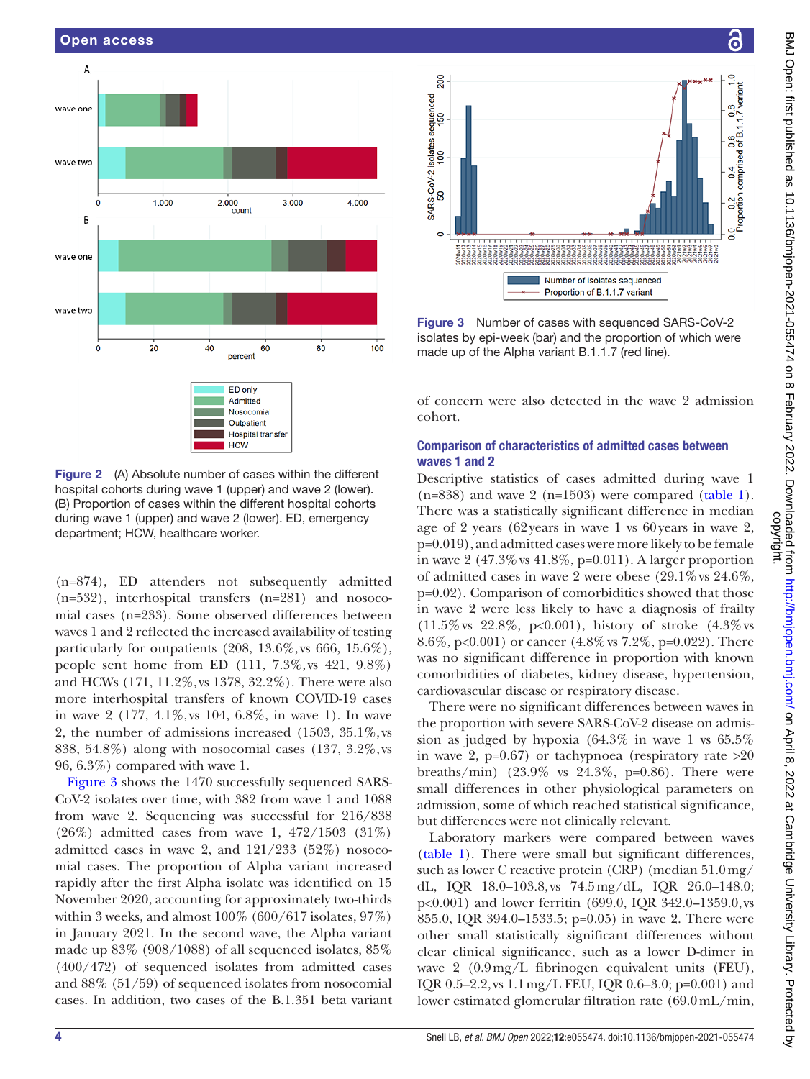

<span id="page-3-0"></span>Figure 2 (A) Absolute number of cases within the different hospital cohorts during wave 1 (upper) and wave 2 (lower). (B) Proportion of cases within the different hospital cohorts during wave 1 (upper) and wave 2 (lower). ED, emergency department; HCW, healthcare worker.

(n=874), ED attenders not subsequently admitted (n=532), interhospital transfers (n=281) and nosocomial cases (n=233). Some observed differences between waves 1 and 2 reflected the increased availability of testing particularly for outpatients (208, 13.6%, vs 666, 15.6%), people sent home from ED (111, 7.3%, vs 421, 9.8%) and HCWs (171, 11.2%, vs 1378, 32.2%). There were also more interhospital transfers of known COVID-19 cases in wave 2 (177, 4.1%, vs 104, 6.8%, in wave 1). In wave 2, the number of admissions increased (1503, 35.1%, vs 838, 54.8%) along with nosocomial cases (137, 3.2%, vs 96, 6.3%) compared with wave 1.

[Figure](#page-3-1) 3 shows the 1470 successfully sequenced SARS-CoV-2 isolates over time, with 382 from wave 1 and 1088 from wave 2. Sequencing was successful for 216/838 (26%) admitted cases from wave 1, 472/1503 (31%) admitted cases in wave 2, and 121/233 (52%) nosocomial cases. The proportion of Alpha variant increased rapidly after the first Alpha isolate was identified on 15 November 2020, accounting for approximately two-thirds within 3 weeks, and almost  $100\%$  (600/617 isolates, 97%) in January 2021. In the second wave, the Alpha variant made up 83% (908/1088) of all sequenced isolates, 85% (400/472) of sequenced isolates from admitted cases and 88% (51/59) of sequenced isolates from nosocomial cases. In addition, two cases of the B.1.351 beta variant



<span id="page-3-1"></span>Figure 3 Number of cases with sequenced SARS-CoV-2 isolates by epi-week (bar) and the proportion of which were made up of the Alpha variant B.1.1.7 (red line).

of concern were also detected in the wave 2 admission cohort.

### Comparison of characteristics of admitted cases between waves 1 and 2

Descriptive statistics of cases admitted during wave 1  $(n=838)$  and wave 2  $(n=1503)$  were compared  $(table 1)$  $(table 1)$  $(table 1)$ . There was a statistically significant difference in median age of 2 years (62years in wave 1 vs 60years in wave 2, p=0.019), and admitted cases were more likely to be female in wave 2  $(47.3\% \text{ vs } 41.8\%, \text{ p=0.011}).$  A larger proportion of admitted cases in wave 2 were obese  $(29.1\% \text{ vs } 24.6\%$ , p=0.02). Comparison of comorbidities showed that those in wave 2 were less likely to have a diagnosis of frailty (11.5%vs 22.8%, p<0.001), history of stroke (4.3%vs 8.6%, p<0.001) or cancer (4.8%vs 7.2%, p=0.022). There was no significant difference in proportion with known comorbidities of diabetes, kidney disease, hypertension, cardiovascular disease or respiratory disease.

There were no significant differences between waves in the proportion with severe SARS-CoV-2 disease on admission as judged by hypoxia (64.3% in wave 1 vs 65.5% in wave 2,  $p=0.67$ ) or tachypnoea (respiratory rate  $>20$ breaths/min)  $(23.9\% \text{ vs } 24.3\%, \text{ p=0.86})$ . There were small differences in other physiological parameters on admission, some of which reached statistical significance, but differences were not clinically relevant.

Laboratory markers were compared between waves [\(table](#page-4-0) 1). There were small but significant differences, such as lower C reactive protein (CRP) (median 51.0mg/ dL, IQR 18.0–103.8, vs 74.5mg/dL, IQR 26.0–148.0; p<0.001) and lower ferritin (699.0, IQR 342.0–1359.0, vs 855.0, IQR 394.0–1533.5; p=0.05) in wave 2. There were other small statistically significant differences without clear clinical significance, such as a lower D-dimer in wave 2 (0.9mg/L fibrinogen equivalent units (FEU), IQR 0.5–2.2, vs 1.1mg/L FEU, IQR 0.6–3.0; p=0.001) and lower estimated glomerular filtration rate (69.0mL/min,

෬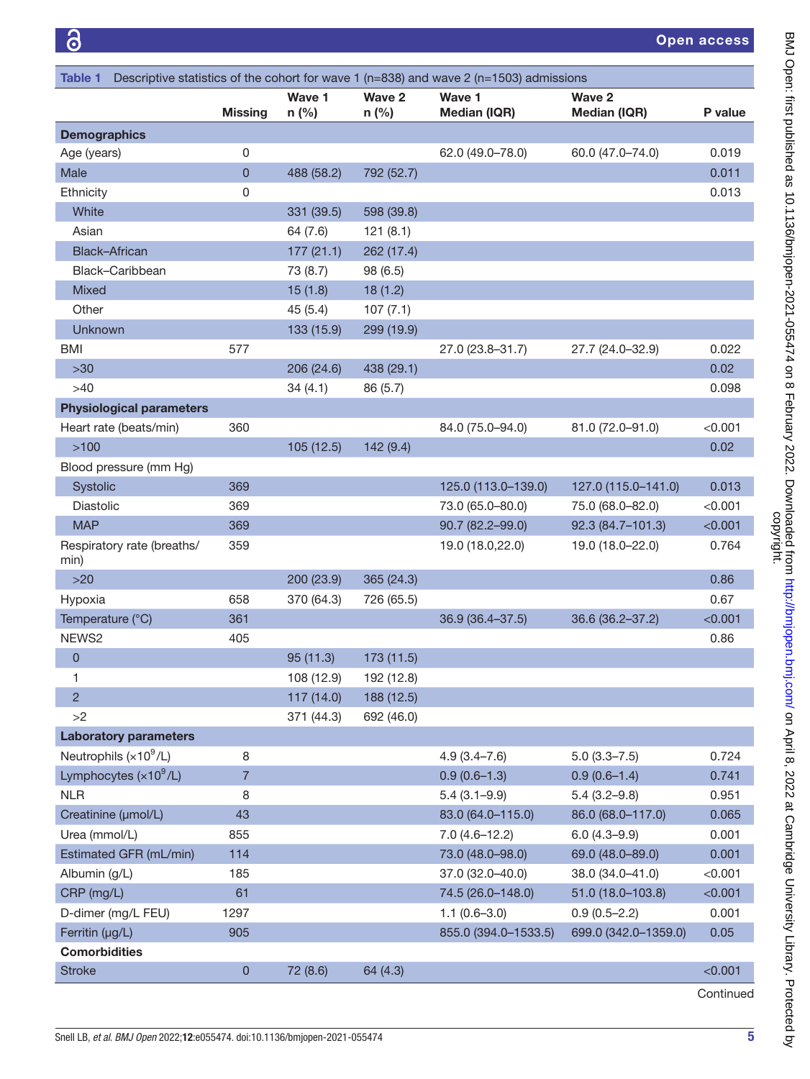<span id="page-4-0"></span>

| Descriptive statistics of the cohort for wave 1 ( $n=838$ ) and wave 2 ( $n=1503$ ) admissions<br><b>Table 1</b> |                |                   |                   |                               |                               |         |
|------------------------------------------------------------------------------------------------------------------|----------------|-------------------|-------------------|-------------------------------|-------------------------------|---------|
|                                                                                                                  | <b>Missing</b> | Wave 1<br>$n$ (%) | Wave 2<br>$n$ (%) | Wave 1<br><b>Median (IQR)</b> | Wave 2<br><b>Median (IQR)</b> | P value |
| <b>Demographics</b>                                                                                              |                |                   |                   |                               |                               |         |
| Age (years)                                                                                                      | 0              |                   |                   | 62.0 (49.0-78.0)              | 60.0 (47.0-74.0)              | 0.019   |
| Male                                                                                                             | $\mathbf 0$    | 488 (58.2)        | 792 (52.7)        |                               |                               | 0.011   |
| Ethnicity                                                                                                        | 0              |                   |                   |                               |                               | 0.013   |
| White                                                                                                            |                | 331 (39.5)        | 598 (39.8)        |                               |                               |         |
| Asian                                                                                                            |                | 64 (7.6)          | 121(8.1)          |                               |                               |         |
| <b>Black-African</b>                                                                                             |                | 177(21.1)         | 262 (17.4)        |                               |                               |         |
| Black-Caribbean                                                                                                  |                | 73 (8.7)          | 98 (6.5)          |                               |                               |         |
| <b>Mixed</b>                                                                                                     |                | 15(1.8)           | 18(1.2)           |                               |                               |         |
| Other                                                                                                            |                | 45 (5.4)          | 107(7.1)          |                               |                               |         |
| Unknown                                                                                                          |                | 133 (15.9)        | 299 (19.9)        |                               |                               |         |
| <b>BMI</b>                                                                                                       | 577            |                   |                   | 27.0 (23.8-31.7)              | 27.7 (24.0-32.9)              | 0.022   |
| $>30$                                                                                                            |                | 206 (24.6)        | 438 (29.1)        |                               |                               | 0.02    |
| >40                                                                                                              |                | 34(4.1)           | 86 (5.7)          |                               |                               | 0.098   |
| <b>Physiological parameters</b>                                                                                  |                |                   |                   |                               |                               |         |
| Heart rate (beats/min)                                                                                           | 360            |                   |                   | 84.0 (75.0-94.0)              | 81.0 (72.0-91.0)              | < 0.001 |
| $>100$                                                                                                           |                | 105 (12.5)        | 142(9.4)          |                               |                               | 0.02    |
| Blood pressure (mm Hg)                                                                                           |                |                   |                   |                               |                               |         |
| Systolic                                                                                                         | 369            |                   |                   | 125.0 (113.0-139.0)           | 127.0 (115.0-141.0)           | 0.013   |
| Diastolic                                                                                                        | 369            |                   |                   | 73.0 (65.0-80.0)              | 75.0 (68.0-82.0)              | < 0.001 |
| <b>MAP</b>                                                                                                       | 369            |                   |                   | 90.7 (82.2-99.0)              | 92.3 (84.7-101.3)             | < 0.001 |
| Respiratory rate (breaths/<br>min)                                                                               | 359            |                   |                   | 19.0 (18.0,22.0)              | 19.0 (18.0-22.0)              | 0.764   |
| $>20$                                                                                                            |                | 200 (23.9)        | 365 (24.3)        |                               |                               | 0.86    |
| Hypoxia                                                                                                          | 658            | 370 (64.3)        | 726 (65.5)        |                               |                               | 0.67    |
| Temperature (°C)                                                                                                 | 361            |                   |                   | 36.9 (36.4-37.5)              | 36.6 (36.2-37.2)              | < 0.001 |
| NEWS2                                                                                                            | 405            |                   |                   |                               |                               | 0.86    |
| 0                                                                                                                |                | 95(11.3)          | 173 (11.5)        |                               |                               |         |
| 1                                                                                                                |                | 108 (12.9)        | 192 (12.8)        |                               |                               |         |
| $\overline{c}$                                                                                                   |                | 117 (14.0)        | 188 (12.5)        |                               |                               |         |
| >2                                                                                                               |                | 371 (44.3)        | 692 (46.0)        |                               |                               |         |
| <b>Laboratory parameters</b>                                                                                     |                |                   |                   |                               |                               |         |
| Neutrophils $(x10^9/L)$                                                                                          | 8              |                   |                   | $4.9(3.4 - 7.6)$              | $5.0(3.3 - 7.5)$              | 0.724   |
| Lymphocytes $(x10^9/L)$                                                                                          | $\overline{7}$ |                   |                   | $0.9(0.6-1.3)$                | $0.9(0.6-1.4)$                | 0.741   |
| <b>NLR</b>                                                                                                       | 8              |                   |                   | $5.4(3.1-9.9)$                | $5.4(3.2 - 9.8)$              | 0.951   |
| Creatinine (µmol/L)                                                                                              | 43             |                   |                   | 83.0 (64.0-115.0)             | 86.0 (68.0-117.0)             | 0.065   |
| Urea (mmol/L)                                                                                                    | 855            |                   |                   | $7.0(4.6 - 12.2)$             | $6.0(4.3 - 9.9)$              | 0.001   |
| Estimated GFR (mL/min)                                                                                           | 114            |                   |                   | 73.0 (48.0-98.0)              | 69.0 (48.0-89.0)              | 0.001   |
| Albumin (g/L)                                                                                                    | 185            |                   |                   | 37.0 (32.0-40.0)              | 38.0 (34.0-41.0)              | < 0.001 |
| CRP (mg/L)                                                                                                       | 61             |                   |                   | 74.5 (26.0-148.0)             | 51.0 (18.0-103.8)             | < 0.001 |
| D-dimer (mg/L FEU)                                                                                               | 1297           |                   |                   | $1.1(0.6 - 3.0)$              | $0.9(0.5 - 2.2)$              | 0.001   |
| Ferritin (µg/L)                                                                                                  | 905            |                   |                   | 855.0 (394.0-1533.5)          | 699.0 (342.0-1359.0)          | 0.05    |
| <b>Comorbidities</b>                                                                                             |                |                   |                   |                               |                               |         |
| <b>Stroke</b>                                                                                                    | $\mathbf 0$    | 72 (8.6)          | 64 (4.3)          |                               |                               | < 0.001 |

Continued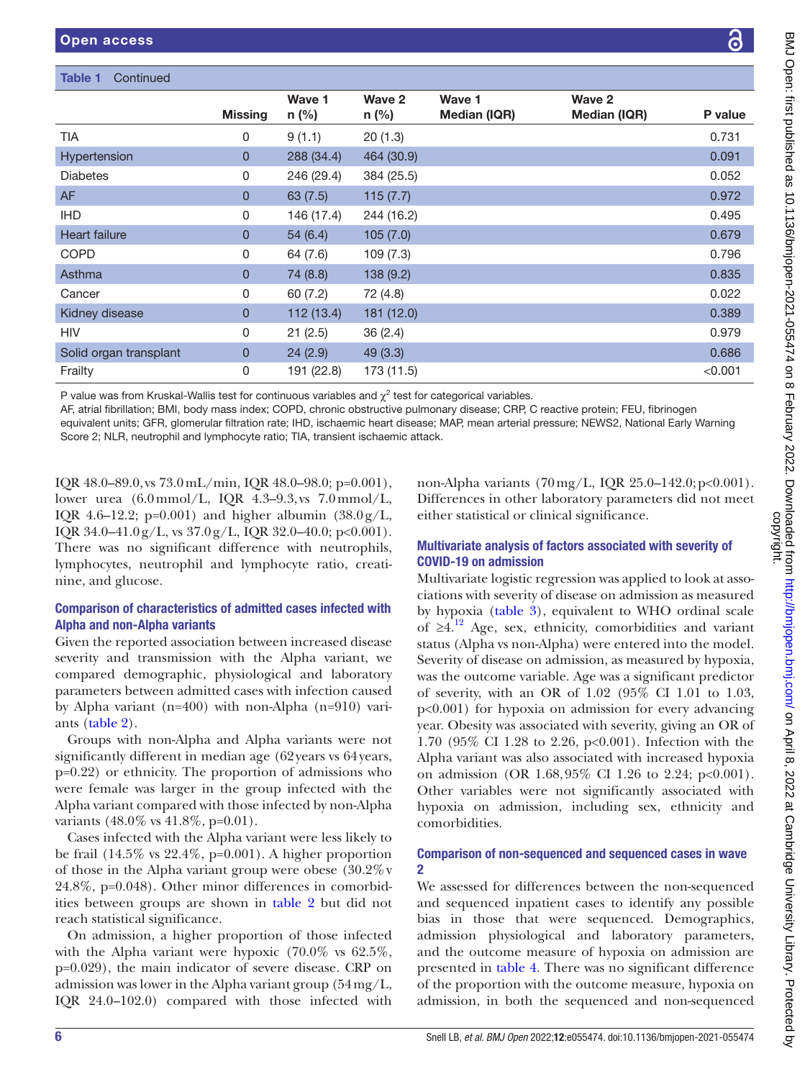P value

|                                                                                                                                                                                                                                                                                                                                                                                                                                                                                      | <b>Missing</b> | Wave 1<br>$n$ (%) | Wave 2<br>n (%) | Wave 1<br>Median (IQR) | Wave 2<br>Median (IQR) | P value |
|--------------------------------------------------------------------------------------------------------------------------------------------------------------------------------------------------------------------------------------------------------------------------------------------------------------------------------------------------------------------------------------------------------------------------------------------------------------------------------------|----------------|-------------------|-----------------|------------------------|------------------------|---------|
| <b>TIA</b>                                                                                                                                                                                                                                                                                                                                                                                                                                                                           | 0              | 9(1.1)            | 20(1.3)         |                        |                        | 0.731   |
| Hypertension                                                                                                                                                                                                                                                                                                                                                                                                                                                                         | 0              | 288 (34.4)        | 464 (30.9)      |                        |                        | 0.091   |
| <b>Diabetes</b>                                                                                                                                                                                                                                                                                                                                                                                                                                                                      | 0              | 246 (29.4)        | 384 (25.5)      |                        |                        | 0.052   |
| AF                                                                                                                                                                                                                                                                                                                                                                                                                                                                                   | 0              | 63(7.5)           | 115(7.7)        |                        |                        | 0.972   |
| <b>IHD</b>                                                                                                                                                                                                                                                                                                                                                                                                                                                                           | 0              | 146 (17.4)        | 244 (16.2)      |                        |                        | 0.495   |
| <b>Heart failure</b>                                                                                                                                                                                                                                                                                                                                                                                                                                                                 | 0              | 54(6.4)           | 105(7.0)        |                        |                        | 0.679   |
| COPD                                                                                                                                                                                                                                                                                                                                                                                                                                                                                 | 0              | 64 (7.6)          | 109(7.3)        |                        |                        | 0.796   |
| Asthma                                                                                                                                                                                                                                                                                                                                                                                                                                                                               | 0              | 74 (8.8)          | 138 (9.2)       |                        |                        | 0.835   |
| Cancer                                                                                                                                                                                                                                                                                                                                                                                                                                                                               | 0              | 60(7.2)           | 72 (4.8)        |                        |                        | 0.022   |
| Kidney disease                                                                                                                                                                                                                                                                                                                                                                                                                                                                       | 0              | 112 (13.4)        | 181 (12.0)      |                        |                        | 0.389   |
| <b>HIV</b>                                                                                                                                                                                                                                                                                                                                                                                                                                                                           | 0              | 21(2.5)           | 36 (2.4)        |                        |                        | 0.979   |
| Solid organ transplant                                                                                                                                                                                                                                                                                                                                                                                                                                                               | 0              | 24(2.9)           | 49 (3.3)        |                        |                        | 0.686   |
| Frailty                                                                                                                                                                                                                                                                                                                                                                                                                                                                              | 0              | 191 (22.8)        | 173 (11.5)      |                        |                        | < 0.001 |
| P value was from Kruskal-Wallis test for continuous variables and $\chi^2$ test for categorical variables.<br>AF, atrial fibrillation; BMI, body mass index; COPD, chronic obstructive pulmonary disease; CRP, C reactive protein; FEU, fibrinogen<br>equivalent units; GFR, glomerular filtration rate; IHD, ischaemic heart disease; MAP, mean arterial pressure; NEWS2, National Early Warning<br>Score 2; NLR, neutrophil and lymphocyte ratio; TIA, transient ischaemic attack. |                |                   |                 |                        |                        |         |

IQR 48.0–89.0, vs 73.0mL/min, IQR 48.0–98.0; p=0.001), lower urea (6.0mmol/L, IQR 4.3–9.3, vs 7.0mmol/L, IQR 4.6–12.2; p=0.001) and higher albumin  $(38.0g/L,$ IQR 34.0–41.0 g/L, vs  $37.0$  g/L, IQR 32.0–40.0; p<0.001). There was no significant difference with neutrophils, lymphocytes, neutrophil and lymphocyte ratio, creatinine, and glucose.

# Comparison of characteristics of admitted cases infected with Alpha and non-Alpha variants

Given the reported association between increased disease severity and transmission with the Alpha variant, we compared demographic, physiological and laboratory parameters between admitted cases with infection caused by Alpha variant (n=400) with non-Alpha (n=910) variants [\(table](#page-6-0) 2).

Groups with non-Alpha and Alpha variants were not significantly different in median age (62years vs 64years, p=0.22) or ethnicity. The proportion of admissions who were female was larger in the group infected with the Alpha variant compared with those infected by non-Alpha variants (48.0% vs 41.8%, p=0.01).

Cases infected with the Alpha variant were less likely to be frail  $(14.5\% \text{ vs } 22.4\%, \text{ p=0.001}).$  A higher proportion of those in the Alpha variant group were obese  $(30.2\%$  v 24.8%, p=0.048). Other minor differences in comorbidities between groups are shown in [table](#page-6-0) 2 but did not reach statistical significance.

On admission, a higher proportion of those infected with the Alpha variant were hypoxic  $(70.0\% \text{ vs } 62.5\%$ , p=0.029), the main indicator of severe disease. CRP on admission was lower in the Alpha variant group (54mg/L, IQR 24.0–102.0) compared with those infected with

non-Alpha variants (70mg/L, IQR 25.0–142.0;p<0.001). Differences in other laboratory parameters did not meet either statistical or clinical significance.

# Multivariate analysis of factors associated with severity of COVID-19 on admission

Multivariate logistic regression was applied to look at associations with severity of disease on admission as measured by hypoxia ([table](#page-7-0) 3), equivalent to WHO ordinal scale of  $\geq 4$ .<sup>[12](#page-11-11)</sup> Age, sex, ethnicity, comorbidities and variant status (Alpha vs non-Alpha) were entered into the model. Severity of disease on admission, as measured by hypoxia, was the outcome variable. Age was a significant predictor of severity, with an OR of 1.02 (95% CI 1.01 to 1.03, p<0.001) for hypoxia on admission for every advancing year. Obesity was associated with severity, giving an OR of 1.70 (95% CI 1.28 to 2.26, p<0.001). Infection with the Alpha variant was also associated with increased hypoxia on admission (OR 1.68,95% CI 1.26 to 2.24; p<0.001). Other variables were not significantly associated with hypoxia on admission, including sex, ethnicity and comorbidities.

# Comparison of non-sequenced and sequenced cases in wave 2

We assessed for differences between the non-sequenced and sequenced inpatient cases to identify any possible bias in those that were sequenced. Demographics, admission physiological and laboratory parameters, and the outcome measure of hypoxia on admission are presented in [table](#page-8-0) 4. There was no significant difference of the proportion with the outcome measure, hypoxia on admission, in both the sequenced and non-sequenced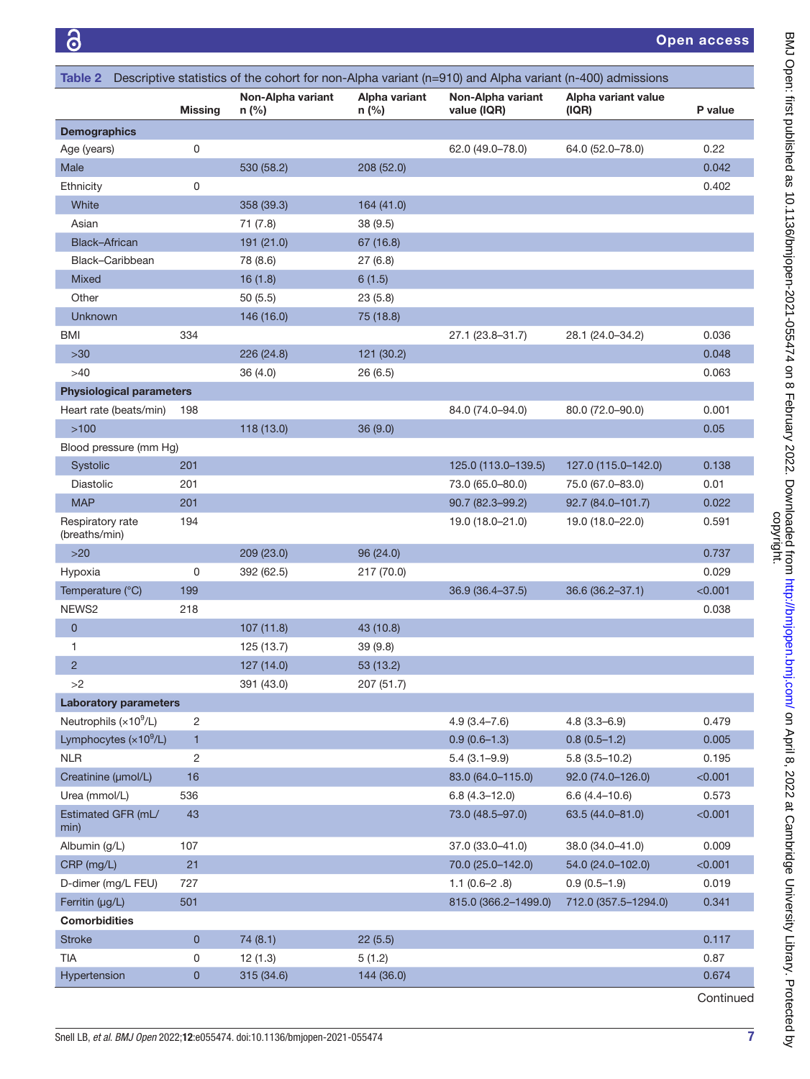<span id="page-6-0"></span>

| Table 2                           |                |                            |                        | Descriptive statistics of the cohort for non-Alpha variant (n=910) and Alpha variant (n-400) admissions |                              |         |
|-----------------------------------|----------------|----------------------------|------------------------|---------------------------------------------------------------------------------------------------------|------------------------------|---------|
|                                   | <b>Missing</b> | Non-Alpha variant<br>n (%) | Alpha variant<br>n (%) | Non-Alpha variant<br>value (IQR)                                                                        | Alpha variant value<br>(IQR) | P value |
| <b>Demographics</b>               |                |                            |                        |                                                                                                         |                              |         |
| Age (years)                       | 0              |                            |                        | 62.0 (49.0-78.0)                                                                                        | 64.0 (52.0-78.0)             | 0.22    |
| Male                              |                | 530 (58.2)                 | 208 (52.0)             |                                                                                                         |                              | 0.042   |
| Ethnicity                         | 0              |                            |                        |                                                                                                         |                              | 0.402   |
| White                             |                | 358 (39.3)                 | 164 (41.0)             |                                                                                                         |                              |         |
| Asian                             |                | 71 (7.8)                   | 38 (9.5)               |                                                                                                         |                              |         |
| <b>Black-African</b>              |                | 191 (21.0)                 | 67 (16.8)              |                                                                                                         |                              |         |
| Black-Caribbean                   |                | 78 (8.6)                   | 27(6.8)                |                                                                                                         |                              |         |
| Mixed                             |                | 16(1.8)                    | 6(1.5)                 |                                                                                                         |                              |         |
| Other                             |                | 50(5.5)                    | 23(5.8)                |                                                                                                         |                              |         |
| Unknown                           |                | 146 (16.0)                 | 75 (18.8)              |                                                                                                         |                              |         |
| <b>BMI</b>                        | 334            |                            |                        | 27.1 (23.8-31.7)                                                                                        | 28.1 (24.0–34.2)             | 0.036   |
| $>30$                             |                | 226 (24.8)                 | 121 (30.2)             |                                                                                                         |                              | 0.048   |
| $>40$                             |                | 36 (4.0)                   | 26 (6.5)               |                                                                                                         |                              | 0.063   |
| <b>Physiological parameters</b>   |                |                            |                        |                                                                                                         |                              |         |
| Heart rate (beats/min)            | 198            |                            |                        | 84.0 (74.0-94.0)                                                                                        | 80.0 (72.0-90.0)             | 0.001   |
| >100                              |                | 118 (13.0)                 | 36(9.0)                |                                                                                                         |                              | 0.05    |
| Blood pressure (mm Hg)            |                |                            |                        |                                                                                                         |                              |         |
| Systolic                          | 201            |                            |                        | 125.0 (113.0-139.5)                                                                                     | 127.0 (115.0-142.0)          | 0.138   |
| <b>Diastolic</b>                  | 201            |                            |                        | 73.0 (65.0-80.0)                                                                                        | 75.0 (67.0-83.0)             | 0.01    |
| <b>MAP</b>                        | 201            |                            |                        | 90.7 (82.3-99.2)                                                                                        | 92.7 (84.0-101.7)            | 0.022   |
| Respiratory rate<br>(breaths/min) | 194            |                            |                        | 19.0 (18.0-21.0)                                                                                        | 19.0 (18.0-22.0)             | 0.591   |
| $>20$                             |                | 209 (23.0)                 | 96 (24.0)              |                                                                                                         |                              | 0.737   |
| Hypoxia                           | 0              | 392 (62.5)                 | 217 (70.0)             |                                                                                                         |                              | 0.029   |
| Temperature (°C)                  | 199            |                            |                        | 36.9 (36.4-37.5)                                                                                        | 36.6 (36.2-37.1)             | < 0.001 |
| NEWS2                             | 218            |                            |                        |                                                                                                         |                              | 0.038   |
| 0                                 |                | 107 (11.8)                 | 43 (10.8)              |                                                                                                         |                              |         |
| 1                                 |                | 125 (13.7)                 | 39 (9.8)               |                                                                                                         |                              |         |
| $\overline{c}$                    |                | 127 (14.0)                 | 53 (13.2)              |                                                                                                         |                              |         |
| >2                                |                | 391 (43.0)                 | 207 (51.7)             |                                                                                                         |                              |         |
| <b>Laboratory parameters</b>      |                |                            |                        |                                                                                                         |                              |         |
| Neutrophils $(x10^9/L)$           | 2              |                            |                        | $4.9(3.4 - 7.6)$                                                                                        | $4.8(3.3 - 6.9)$             | 0.479   |
| Lymphocytes $(x10^9/L)$           | $\mathbf{1}$   |                            |                        | $0.9(0.6-1.3)$                                                                                          | $0.8(0.5-1.2)$               | 0.005   |
| <b>NLR</b>                        | 2              |                            |                        | $5.4(3.1 - 9.9)$                                                                                        | $5.8(3.5 - 10.2)$            | 0.195   |
| Creatinine (µmol/L)               | 16             |                            |                        | 83.0 (64.0-115.0)                                                                                       | 92.0 (74.0-126.0)            | < 0.001 |
| Urea (mmol/L)                     | 536            |                            |                        | $6.8(4.3 - 12.0)$                                                                                       | $6.6(4.4 - 10.6)$            | 0.573   |
| Estimated GFR (mL/<br>min)        | 43             |                            |                        | 73.0 (48.5-97.0)                                                                                        | 63.5 (44.0-81.0)             | < 0.001 |
| Albumin (g/L)                     | 107            |                            |                        | 37.0 (33.0-41.0)                                                                                        | 38.0 (34.0-41.0)             | 0.009   |
| CRP (mg/L)                        | 21             |                            |                        | 70.0 (25.0-142.0)                                                                                       | 54.0 (24.0-102.0)            | < 0.001 |
| D-dimer (mg/L FEU)                | 727            |                            |                        | $1.1(0.6-2.8)$                                                                                          | $0.9(0.5-1.9)$               | 0.019   |
| Ferritin (µg/L)                   | 501            |                            |                        | 815.0 (366.2-1499.0)                                                                                    | 712.0 (357.5-1294.0)         | 0.341   |
| <b>Comorbidities</b>              |                |                            |                        |                                                                                                         |                              |         |
| <b>Stroke</b>                     | 0              | 74 (8.1)                   | 22(5.5)                |                                                                                                         |                              | 0.117   |
| <b>TIA</b>                        | 0              | 12(1.3)                    | 5(1.2)                 |                                                                                                         |                              | 0.87    |
| Hypertension                      | 0              | 315 (34.6)                 | 144 (36.0)             |                                                                                                         |                              | 0.674   |

Continued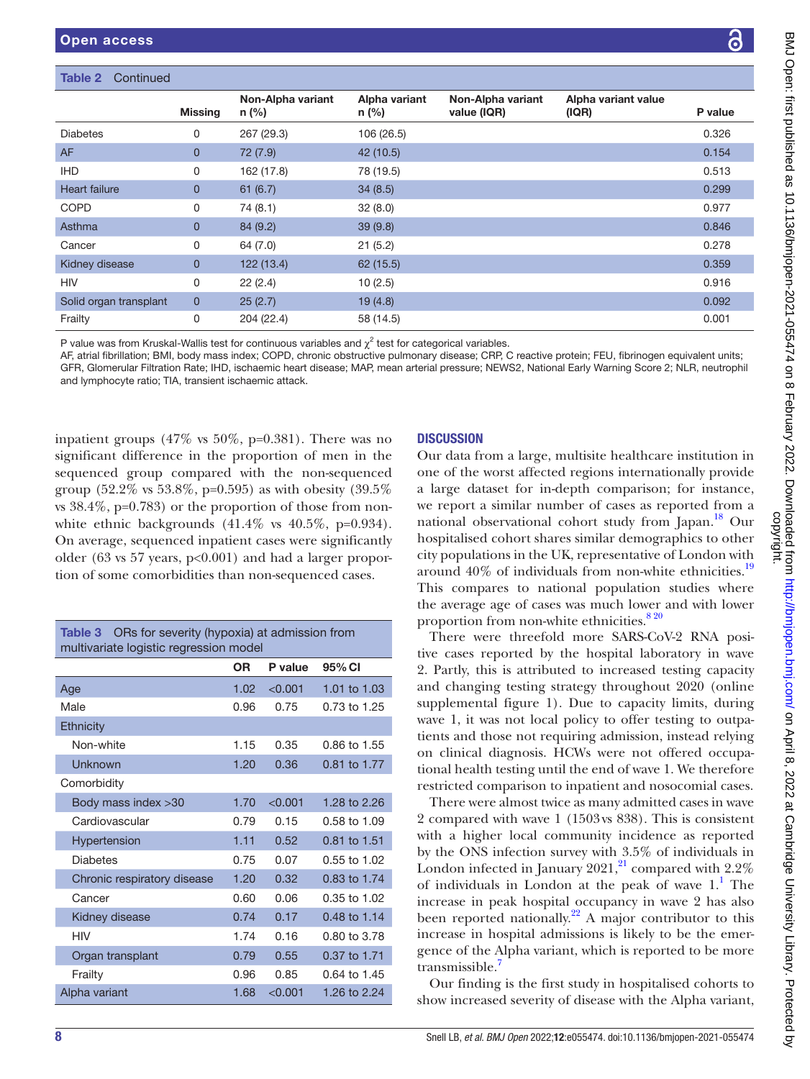### Table 2 Continued

|                        | <b>Missing</b> | Non-Alpha variant<br>n (%) | Alpha variant<br>n (%) | Non-Alpha variant<br>value (IQR) | Alpha variant value<br>(IQR) | P value |
|------------------------|----------------|----------------------------|------------------------|----------------------------------|------------------------------|---------|
| <b>Diabetes</b>        | 0              | 267 (29.3)                 | 106 (26.5)             |                                  |                              | 0.326   |
| <b>AF</b>              | $\mathbf{0}$   | 72 (7.9)                   | 42 (10.5)              |                                  |                              | 0.154   |
| <b>IHD</b>             | 0              | 162 (17.8)                 | 78 (19.5)              |                                  |                              | 0.513   |
| <b>Heart failure</b>   | $\overline{0}$ | 61(6.7)                    | 34(8.5)                |                                  |                              | 0.299   |
| <b>COPD</b>            | 0              | 74 (8.1)                   | 32(8.0)                |                                  |                              | 0.977   |
| Asthma                 | $\mathbf{0}$   | 84(9.2)                    | 39(9.8)                |                                  |                              | 0.846   |
| Cancer                 | 0              | 64 (7.0)                   | 21(5.2)                |                                  |                              | 0.278   |
| Kidney disease         | $\mathbf{0}$   | 122 (13.4)                 | 62(15.5)               |                                  |                              | 0.359   |
| <b>HIV</b>             | 0              | 22(2.4)                    | 10(2.5)                |                                  |                              | 0.916   |
| Solid organ transplant | $\mathbf{0}$   | 25(2.7)                    | 19(4.8)                |                                  |                              | 0.092   |
| Frailty                | 0              | 204 (22.4)                 | 58 (14.5)              |                                  |                              | 0.001   |

P value was from Kruskal-Wallis test for continuous variables and  $\chi^2$  test for categorical variables.

AF, atrial fibrillation; BMI, body mass index; COPD, chronic obstructive pulmonary disease; CRP, C reactive protein; FEU, fibrinogen equivalent units; GFR, Glomerular Filtration Rate; IHD, ischaemic heart disease; MAP, mean arterial pressure; NEWS2, National Early Warning Score 2; NLR, neutrophil and lymphocyte ratio; TIA, transient ischaemic attack.

inpatient groups (47% vs 50%, p=0.381). There was no significant difference in the proportion of men in the sequenced group compared with the non-sequenced group (52.2% vs 53.8%, p=0.595) as with obesity (39.5% vs  $38.4\%$ , p=0.783) or the proportion of those from nonwhite ethnic backgrounds  $(41.4\% \text{ vs } 40.5\%, \text{ p=0.934}).$ On average, sequenced inpatient cases were significantly older (63 vs 57 years, p<0.001) and had a larger proportion of some comorbidities than non-sequenced cases.

<span id="page-7-0"></span>

| ORs for severity (hypoxia) at admission from<br>Table 3<br>multivariate logistic regression model |                   |         |                |  |
|---------------------------------------------------------------------------------------------------|-------------------|---------|----------------|--|
|                                                                                                   | OR.               | P value | 95% CI         |  |
| Age                                                                                               | 1.02 <sub>1</sub> | < 0.001 | 1.01 to 1.03   |  |
| Male                                                                                              | 0.96              | 0.75    | 0.73 to 1.25   |  |
| Ethnicity                                                                                         |                   |         |                |  |
| Non-white                                                                                         | 1.15              | 0.35    | $0.86$ to 1.55 |  |
| Unknown                                                                                           | 1.20              | 0.36    | 0.81 to 1.77   |  |
| Comorbidity                                                                                       |                   |         |                |  |
| Body mass index > 30                                                                              | 1.70              | < 0.001 | 1.28 to 2.26   |  |
| Cardiovascular                                                                                    | 0.79              | 0.15    | 0.58 to 1.09   |  |
| Hypertension                                                                                      | 1.11              | 0.52    | 0.81 to 1.51   |  |
| <b>Diabetes</b>                                                                                   | 0.75              | 0.07    | $0.55$ to 1.02 |  |
| Chronic respiratory disease                                                                       | 1.20              | 0.32    | 0.83 to 1.74   |  |
| Cancer                                                                                            | 0.60              | 0.06    | 0.35 to 1.02   |  |
| Kidney disease                                                                                    | 0.74              | 0.17    | 0.48 to 1.14   |  |
| <b>HIV</b>                                                                                        | 1.74              | 0.16    | 0.80 to 3.78   |  |
| Organ transplant                                                                                  | 0.79              | 0.55    | 0.37 to 1.71   |  |
| Frailty                                                                                           | 0.96              | 0.85    | 0.64 to 1.45   |  |
| Alpha variant                                                                                     | 1.68              | < 0.001 | 1.26 to 2.24   |  |

## **DISCUSSION**

Our data from a large, multisite healthcare institution in one of the worst affected regions internationally provide a large dataset for in-depth comparison; for instance, we report a similar number of cases as reported from a national observational cohort study from Japan.<sup>[18](#page-11-17)</sup> Our hospitalised cohort shares similar demographics to other city populations in the UK, representative of London with around  $40\%$  of individuals from non-white ethnicities.<sup>[19](#page-11-18)</sup> This compares to national population studies where the average age of cases was much lower and with lower proportion from non-white ethnicities.<sup>820</sup>

There were threefold more SARS-CoV-2 RNA positive cases reported by the hospital laboratory in wave 2. Partly, this is attributed to increased testing capacity and changing testing strategy throughout 2020 ([online](https://dx.doi.org/10.1136/bmjopen-2021-055474)  [supplemental figure 1\)](https://dx.doi.org/10.1136/bmjopen-2021-055474). Due to capacity limits, during wave 1, it was not local policy to offer testing to outpatients and those not requiring admission, instead relying on clinical diagnosis. HCWs were not offered occupational health testing until the end of wave 1. We therefore restricted comparison to inpatient and nosocomial cases.

There were almost twice as many admitted cases in wave 2 compared with wave 1 (1503vs 838). This is consistent with a higher local community incidence as reported by the ONS infection survey with 3.5% of individuals in London infected in January  $2021$ ,<sup>21</sup> compared with  $2.2\%$ of individuals in London at the peak of wave  $1<sup>1</sup>$  $1<sup>1</sup>$ . The increase in peak hospital occupancy in wave 2 has also been reported nationally.<sup>22</sup> A major contributor to this increase in hospital admissions is likely to be the emergence of the Alpha variant, which is reported to be more transmissible.[7](#page-11-6)

Our finding is the first study in hospitalised cohorts to show increased severity of disease with the Alpha variant,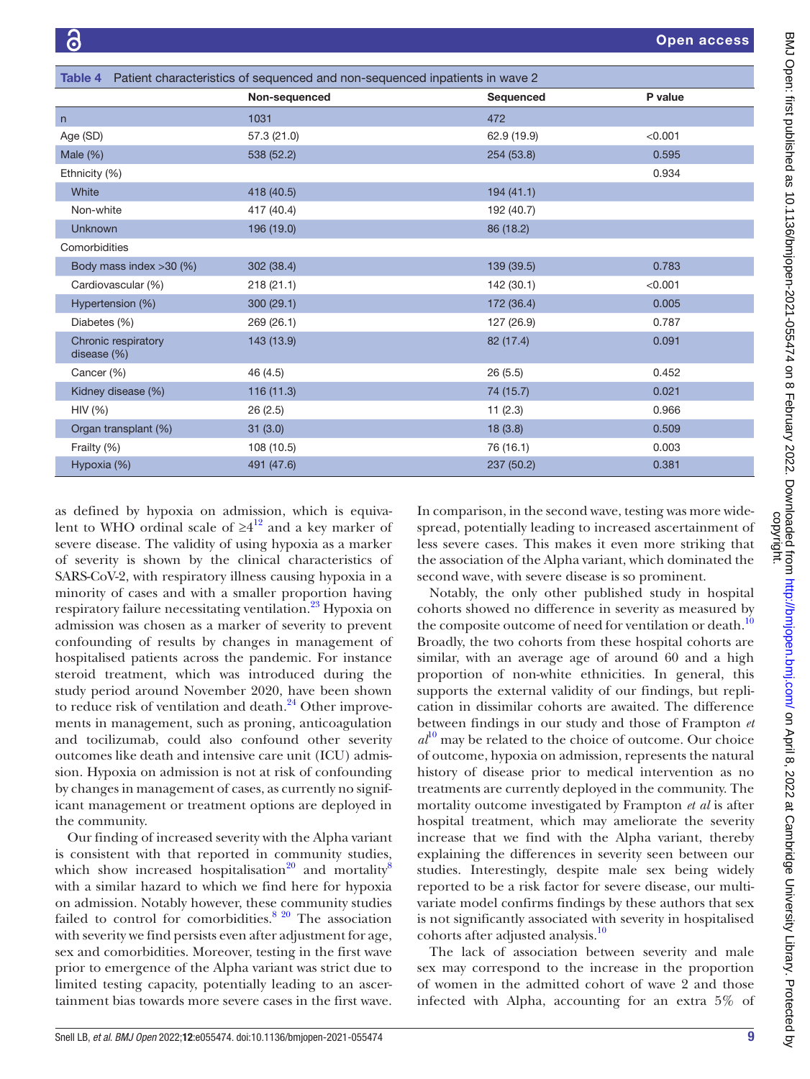<span id="page-8-0"></span>

| <b>Table 4</b> Patient characteristics of sequenced and non-sequenced inpatients in wave 2 |               |             |         |  |
|--------------------------------------------------------------------------------------------|---------------|-------------|---------|--|
|                                                                                            | Non-sequenced | Sequenced   | P value |  |
| n                                                                                          | 1031          | 472         |         |  |
| Age (SD)                                                                                   | 57.3 (21.0)   | 62.9 (19.9) | < 0.001 |  |
| Male (%)                                                                                   | 538 (52.2)    | 254 (53.8)  | 0.595   |  |
| Ethnicity (%)                                                                              |               |             | 0.934   |  |
| White                                                                                      | 418 (40.5)    | 194(41.1)   |         |  |
| Non-white                                                                                  | 417 (40.4)    | 192 (40.7)  |         |  |
| <b>Unknown</b>                                                                             | 196 (19.0)    | 86 (18.2)   |         |  |
| Comorbidities                                                                              |               |             |         |  |
| Body mass index >30 (%)                                                                    | 302(38.4)     | 139 (39.5)  | 0.783   |  |
| Cardiovascular (%)                                                                         | 218(21.1)     | 142(30.1)   | < 0.001 |  |
| Hypertension (%)                                                                           | 300(29.1)     | 172 (36.4)  | 0.005   |  |
| Diabetes (%)                                                                               | 269 (26.1)    | 127 (26.9)  | 0.787   |  |
| Chronic respiratory<br>disease (%)                                                         | 143 (13.9)    | 82 (17.4)   | 0.091   |  |
| Cancer (%)                                                                                 | 46 (4.5)      | 26(5.5)     | 0.452   |  |
| Kidney disease (%)                                                                         | 116(11.3)     | 74 (15.7)   | 0.021   |  |
| HIV (%)                                                                                    | 26(2.5)       | 11(2.3)     | 0.966   |  |
| Organ transplant (%)                                                                       | 31(3.0)       | 18(3.8)     | 0.509   |  |
| Frailty (%)                                                                                | 108 (10.5)    | 76 (16.1)   | 0.003   |  |
| Hypoxia (%)                                                                                | 491 (47.6)    | 237 (50.2)  | 0.381   |  |

as defined by hypoxia on admission, which is equivalent to WHO ordinal scale of  $\geq 4^{12}$  $\geq 4^{12}$  $\geq 4^{12}$  and a key marker of severe disease. The validity of using hypoxia as a marker of severity is shown by the clinical characteristics of SARS-CoV-2, with respiratory illness causing hypoxia in a minority of cases and with a smaller proportion having respiratory failure necessitating ventilation.<sup>23</sup> Hypoxia on admission was chosen as a marker of severity to prevent confounding of results by changes in management of hospitalised patients across the pandemic. For instance steroid treatment, which was introduced during the study period around November 2020, have been shown to reduce risk of ventilation and death. $^{24}$  Other improvements in management, such as proning, anticoagulation and tocilizumab, could also confound other severity outcomes like death and intensive care unit (ICU) admission. Hypoxia on admission is not at risk of confounding by changes in management of cases, as currently no significant management or treatment options are deployed in the community.

Our finding of increased severity with the Alpha variant is consistent with that reported in community studies, which show increased hospitalisation<sup>[20](#page-11-23)</sup> and mortality<sup>[8](#page-11-7)</sup> with a similar hazard to which we find here for hypoxia on admission. Notably however, these community studies failed to control for comorbidities.<sup>8 20</sup> The association with severity we find persists even after adjustment for age, sex and comorbidities. Moreover, testing in the first wave prior to emergence of the Alpha variant was strict due to limited testing capacity, potentially leading to an ascertainment bias towards more severe cases in the first wave.

In comparison, in the second wave, testing was more widespread, potentially leading to increased ascertainment of less severe cases. This makes it even more striking that the association of the Alpha variant, which dominated the second wave, with severe disease is so prominent.

Notably, the only other published study in hospital cohorts showed no difference in severity as measured by the composite outcome of need for ventilation or death.<sup>[10](#page-11-9)</sup> Broadly, the two cohorts from these hospital cohorts are similar, with an average age of around 60 and a high proportion of non-white ethnicities. In general, this supports the external validity of our findings, but replication in dissimilar cohorts are awaited. The difference between findings in our study and those of Frampton *et*   $al^{10}$  $al^{10}$  $al^{10}$  may be related to the choice of outcome. Our choice of outcome, hypoxia on admission, represents the natural history of disease prior to medical intervention as no treatments are currently deployed in the community. The mortality outcome investigated by Frampton *et al* is after hospital treatment, which may ameliorate the severity increase that we find with the Alpha variant, thereby explaining the differences in severity seen between our studies. Interestingly, despite male sex being widely reported to be a risk factor for severe disease, our multivariate model confirms findings by these authors that sex is not significantly associated with severity in hospitalised cohorts after adjusted analysis.[10](#page-11-9)

The lack of association between severity and male sex may correspond to the increase in the proportion of women in the admitted cohort of wave 2 and those infected with Alpha, accounting for an extra 5% of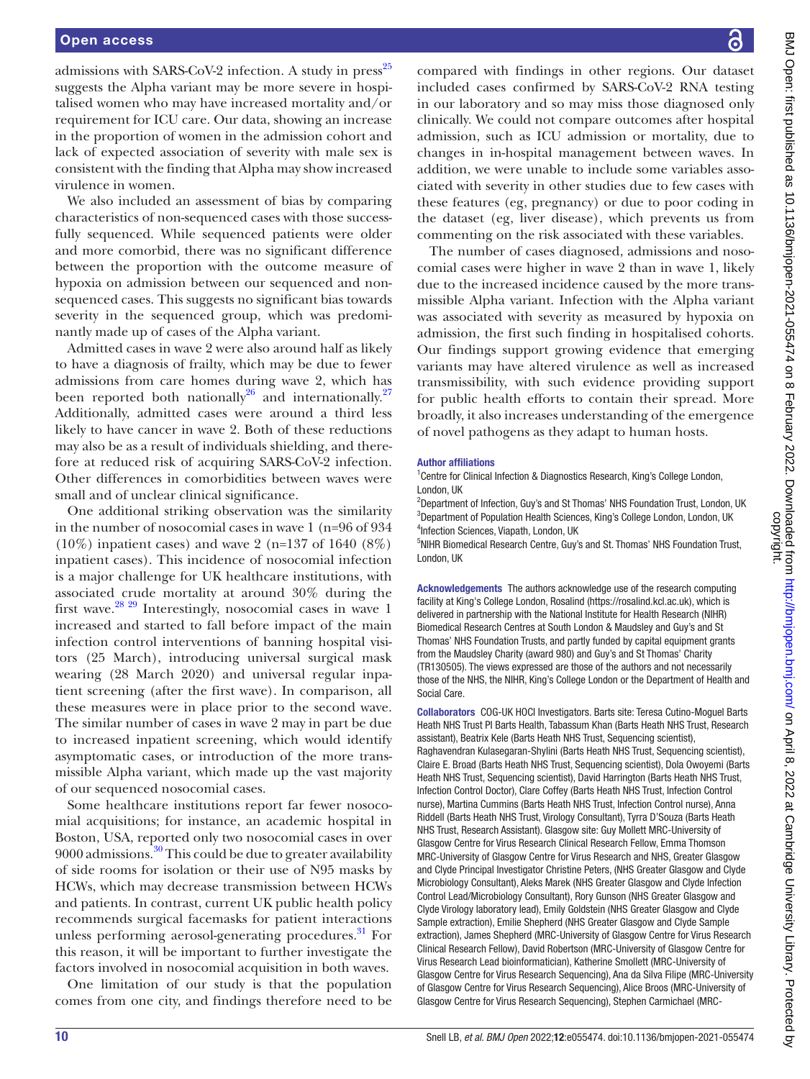admissions with SARS-CoV-2 infection. A study in  $press^{25}$ suggests the Alpha variant may be more severe in hospitalised women who may have increased mortality and/or requirement for ICU care. Our data, showing an increase in the proportion of women in the admission cohort and lack of expected association of severity with male sex is consistent with the finding that Alpha may show increased virulence in women.

We also included an assessment of bias by comparing characteristics of non-sequenced cases with those successfully sequenced. While sequenced patients were older and more comorbid, there was no significant difference between the proportion with the outcome measure of hypoxia on admission between our sequenced and nonsequenced cases. This suggests no significant bias towards severity in the sequenced group, which was predominantly made up of cases of the Alpha variant.

Admitted cases in wave 2 were also around half as likely to have a diagnosis of frailty, which may be due to fewer admissions from care homes during wave 2, which has been reported both nationally<sup>26</sup> and internationally.<sup>27</sup> Additionally, admitted cases were around a third less likely to have cancer in wave 2. Both of these reductions may also be as a result of individuals shielding, and therefore at reduced risk of acquiring SARS-CoV-2 infection. Other differences in comorbidities between waves were small and of unclear clinical significance.

One additional striking observation was the similarity in the number of nosocomial cases in wave 1 (n=96 of 934 (10%) inpatient cases) and wave 2 (n=137 of 1640 (8%) inpatient cases). This incidence of nosocomial infection is a major challenge for UK healthcare institutions, with associated crude mortality at around 30% during the first wave. $28\frac{29}{1}$  Interestingly, nosocomial cases in wave 1 increased and started to fall before impact of the main infection control interventions of banning hospital visitors (25 March), introducing universal surgical mask wearing (28 March 2020) and universal regular inpatient screening (after the first wave). In comparison, all these measures were in place prior to the second wave. The similar number of cases in wave 2 may in part be due to increased inpatient screening, which would identify asymptomatic cases, or introduction of the more transmissible Alpha variant, which made up the vast majority of our sequenced nosocomial cases.

Some healthcare institutions report far fewer nosocomial acquisitions; for instance, an academic hospital in Boston, USA, reported only two nosocomial cases in over  $9000$  admissions.<sup>30</sup> This could be due to greater availability of side rooms for isolation or their use of N95 masks by HCWs, which may decrease transmission between HCWs and patients. In contrast, current UK public health policy recommends surgical facemasks for patient interactions unless performing aerosol-generating procedures.<sup>[31](#page-12-4)</sup> For this reason, it will be important to further investigate the factors involved in nosocomial acquisition in both waves.

One limitation of our study is that the population comes from one city, and findings therefore need to be

compared with findings in other regions. Our dataset included cases confirmed by SARS-CoV-2 RNA testing in our laboratory and so may miss those diagnosed only clinically. We could not compare outcomes after hospital admission, such as ICU admission or mortality, due to changes in in-hospital management between waves. In addition, we were unable to include some variables associated with severity in other studies due to few cases with these features (eg, pregnancy) or due to poor coding in the dataset (eg, liver disease), which prevents us from commenting on the risk associated with these variables.

The number of cases diagnosed, admissions and nosocomial cases were higher in wave 2 than in wave 1, likely due to the increased incidence caused by the more transmissible Alpha variant. Infection with the Alpha variant was associated with severity as measured by hypoxia on admission, the first such finding in hospitalised cohorts. Our findings support growing evidence that emerging variants may have altered virulence as well as increased transmissibility, with such evidence providing support for public health efforts to contain their spread. More broadly, it also increases understanding of the emergence of novel pathogens as they adapt to human hosts.

### Author affiliations

<sup>1</sup> Centre for Clinical Infection & Diagnostics Research, King's College London, London, UK

<sup>2</sup>Department of Infection, Guy's and St Thomas' NHS Foundation Trust, London, UK <sup>3</sup>Department of Population Health Sciences, King's College London, London, UK 4 Infection Sciences, Viapath, London, UK

<sup>5</sup>NIHR Biomedical Research Centre, Guy's and St. Thomas' NHS Foundation Trust, London, UK

Acknowledgements The authors acknowledge use of the research computing facility at King's College London, Rosalind ([https://rosalind.kcl.ac.uk\)](https://rosalind.kcl.ac.uk/), which is delivered in partnership with the National Institute for Health Research (NIHR) Biomedical Research Centres at South London & Maudsley and Guy's and St Thomas' NHS Foundation Trusts, and partly funded by capital equipment grants from the Maudsley Charity (award 980) and Guy's and St Thomas' Charity (TR130505). The views expressed are those of the authors and not necessarily those of the NHS, the NIHR, King's College London or the Department of Health and Social Care.

Collaborators COG-UK HOCI Investigators. Barts site: Teresa Cutino-Moguel Barts Heath NHS Trust PI Barts Health, Tabassum Khan (Barts Heath NHS Trust, Research assistant), Beatrix Kele (Barts Heath NHS Trust, Sequencing scientist), Raghavendran Kulasegaran-Shylini (Barts Heath NHS Trust, Sequencing scientist), Claire E. Broad (Barts Heath NHS Trust, Sequencing scientist), Dola Owoyemi (Barts Heath NHS Trust, Sequencing scientist), David Harrington (Barts Heath NHS Trust, Infection Control Doctor), Clare Coffey (Barts Heath NHS Trust, Infection Control nurse), Martina Cummins (Barts Heath NHS Trust, Infection Control nurse), Anna Riddell (Barts Heath NHS Trust, Virology Consultant), Tyrra D'Souza (Barts Heath NHS Trust, Research Assistant). Glasgow site: Guy Mollett MRC-University of Glasgow Centre for Virus Research Clinical Research Fellow, Emma Thomson MRC-University of Glasgow Centre for Virus Research and NHS, Greater Glasgow and Clyde Principal Investigator Christine Peters, (NHS Greater Glasgow and Clyde Microbiology Consultant), Aleks Marek (NHS Greater Glasgow and Clyde Infection Control Lead/Microbiology Consultant), Rory Gunson (NHS Greater Glasgow and Clyde Virology laboratory lead), Emily Goldstein (NHS Greater Glasgow and Clyde Sample extraction), Emilie Shepherd (NHS Greater Glasgow and Clyde Sample extraction), James Shepherd (MRC-University of Glasgow Centre for Virus Research Clinical Research Fellow), David Robertson (MRC-University of Glasgow Centre for Virus Research Lead bioinformatician), Katherine Smollett (MRC-University of Glasgow Centre for Virus Research Sequencing), Ana da Silva Filipe (MRC-University of Glasgow Centre for Virus Research Sequencing), Alice Broos (MRC-University of Glasgow Centre for Virus Research Sequencing), Stephen Carmichael (MRC-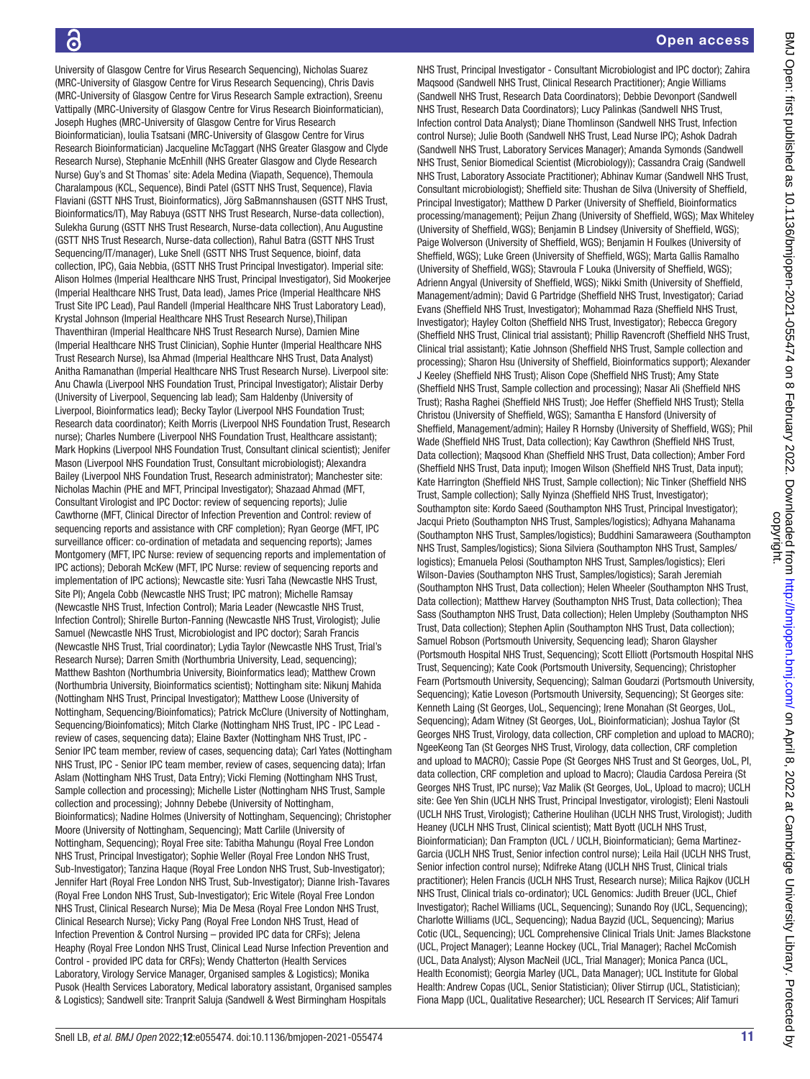# ခြ

University of Glasgow Centre for Virus Research Sequencing), Nicholas Suarez (MRC-University of Glasgow Centre for Virus Research Sequencing), Chris Davis (MRC-University of Glasgow Centre for Virus Research Sample extraction), Sreenu Vattipally (MRC-University of Glasgow Centre for Virus Research Bioinformatician), Joseph Hughes (MRC-University of Glasgow Centre for Virus Research Bioinformatician), Ioulia Tsatsani (MRC-University of Glasgow Centre for Virus Research Bioinformatician) Jacqueline McTaggart (NHS Greater Glasgow and Clyde Research Nurse), Stephanie McEnhill (NHS Greater Glasgow and Clyde Research Nurse) Guy's and St Thomas' site: Adela Medina (Viapath, Sequence), Themoula Charalampous (KCL, Sequence), Bindi Patel (GSTT NHS Trust, Sequence), Flavia Flaviani (GSTT NHS Trust, Bioinformatics), Jörg SaBmannshausen (GSTT NHS Trust, Bioinformatics/IT), May Rabuya (GSTT NHS Trust Research, Nurse-data collection), Sulekha Gurung (GSTT NHS Trust Research, Nurse-data collection), Anu Augustine (GSTT NHS Trust Research, Nurse-data collection), Rahul Batra (GSTT NHS Trust Sequencing/IT/manager), Luke Snell (GSTT NHS Trust Sequence, bioinf, data collection, IPC), Gaia Nebbia, (GSTT NHS Trust Principal Investigator). Imperial site: Alison Holmes (Imperial Healthcare NHS Trust, Principal Investigator), Sid Mookerjee (Imperial Healthcare NHS Trust, Data lead), James Price (Imperial Healthcare NHS Trust Site IPC Lead), Paul Randell (Imperial Healthcare NHS Trust Laboratory Lead), Krystal Johnson (Imperial Healthcare NHS Trust Research Nurse),Thilipan Thaventhiran (Imperial Healthcare NHS Trust Research Nurse), Damien Mine (Imperial Healthcare NHS Trust Clinician), Sophie Hunter (Imperial Healthcare NHS Trust Research Nurse), Isa Ahmad (Imperial Healthcare NHS Trust, Data Analyst) Anitha Ramanathan (Imperial Healthcare NHS Trust Research Nurse). Liverpool site: Anu Chawla (Liverpool NHS Foundation Trust, Principal Investigator); Alistair Derby (University of Liverpool, Sequencing lab lead); Sam Haldenby (University of Liverpool, Bioinformatics lead); Becky Taylor (Liverpool NHS Foundation Trust; Research data coordinator); Keith Morris (Liverpool NHS Foundation Trust, Research nurse); Charles Numbere (Liverpool NHS Foundation Trust, Healthcare assistant); Mark Hopkins (Liverpool NHS Foundation Trust, Consultant clinical scientist); Jenifer Mason (Liverpool NHS Foundation Trust, Consultant microbiologist); Alexandra Bailey (Liverpool NHS Foundation Trust, Research administrator); Manchester site: Nicholas Machin (PHE and MFT, Principal Investigator); Shazaad Ahmad (MFT, Consultant Virologist and IPC Doctor: review of sequencing reports); Julie Cawthorne (MFT, Clinical Director of Infection Prevention and Control: review of sequencing reports and assistance with CRF completion); Ryan George (MFT, IPC surveillance officer: co-ordination of metadata and sequencing reports); James Montgomery (MFT, IPC Nurse: review of sequencing reports and implementation of IPC actions); Deborah McKew (MFT, IPC Nurse: review of sequencing reports and implementation of IPC actions); Newcastle site: Yusri Taha (Newcastle NHS Trust, Site PI); Angela Cobb (Newcastle NHS Trust; IPC matron); Michelle Ramsay (Newcastle NHS Trust, Infection Control); Maria Leader (Newcastle NHS Trust, Infection Control); Shirelle Burton-Fanning (Newcastle NHS Trust, Virologist); Julie Samuel (Newcastle NHS Trust, Microbiologist and IPC doctor); Sarah Francis (Newcastle NHS Trust, Trial coordinator); Lydia Taylor (Newcastle NHS Trust, Trial's Research Nurse); Darren Smith (Northumbria University, Lead, sequencing); Matthew Bashton (Northumbria University, Bioinformatics lead); Matthew Crown (Northumbria University, Bioinformatics scientist); Nottingham site: Nikunj Mahida (Nottingham NHS Trust, Principal Investigator); Matthew Loose (University of Nottingham, Sequencing/Bioinfomatics); Patrick McClure (University of Nottingham, Sequencing/Bioinfomatics); Mitch Clarke (Nottingham NHS Trust, IPC - IPC Lead review of cases, sequencing data); Elaine Baxter (Nottingham NHS Trust, IPC - Senior IPC team member, review of cases, sequencing data); Carl Yates (Nottingham NHS Trust, IPC - Senior IPC team member, review of cases, sequencing data); Irfan Aslam (Nottingham NHS Trust, Data Entry); Vicki Fleming (Nottingham NHS Trust, Sample collection and processing); Michelle Lister (Nottingham NHS Trust, Sample collection and processing); Johnny Debebe (University of Nottingham, Bioinformatics); Nadine Holmes (University of Nottingham, Sequencing); Christopher Moore (University of Nottingham, Sequencing); Matt Carlile (University of Nottingham, Sequencing); Royal Free site: Tabitha Mahungu (Royal Free London NHS Trust, Principal Investigator); Sophie Weller (Royal Free London NHS Trust, Sub-Investigator); Tanzina Haque (Royal Free London NHS Trust, Sub-Investigator); Jennifer Hart (Royal Free London NHS Trust, Sub-Investigator); Dianne Irish-Tavares (Royal Free London NHS Trust, Sub-Investigator); Eric Witele (Royal Free London NHS Trust, Clinical Research Nurse); Mia De Mesa (Royal Free London NHS Trust, Clinical Research Nurse); Vicky Pang (Royal Free London NHS Trust, Head of Infection Prevention & Control Nursing – provided IPC data for CRFs); Jelena Heaphy (Royal Free London NHS Trust, Clinical Lead Nurse Infection Prevention and Control - provided IPC data for CRFs); Wendy Chatterton (Health Services Laboratory, Virology Service Manager, Organised samples & Logistics); Monika Pusok (Health Services Laboratory, Medical laboratory assistant, Organised samples & Logistics); Sandwell site: Tranprit Saluja (Sandwell & West Birmingham Hospitals

NHS Trust, Principal Investigator - Consultant Microbiologist and IPC doctor); Zahira Maqsood (Sandwell NHS Trust, Clinical Research Practitioner); Angie Williams (Sandwell NHS Trust, Research Data Coordinators); Debbie Devonport (Sandwell NHS Trust, Research Data Coordinators); Lucy Palinkas (Sandwell NHS Trust, Infection control Data Analyst); Diane Thomlinson (Sandwell NHS Trust, Infection control Nurse); Julie Booth (Sandwell NHS Trust, Lead Nurse IPC); Ashok Dadrah (Sandwell NHS Trust, Laboratory Services Manager); Amanda Symonds (Sandwell NHS Trust, Senior Biomedical Scientist (Microbiology)); Cassandra Craig (Sandwell NHS Trust, Laboratory Associate Practitioner); Abhinav Kumar (Sandwell NHS Trust, Consultant microbiologist); Sheffield site: Thushan de Silva (University of Sheffield, Principal Investigator); Matthew D Parker (University of Sheffield, Bioinformatics processing/management); Peijun Zhang (University of Sheffield, WGS); Max Whiteley (University of Sheffield, WGS); Benjamin B Lindsey (University of Sheffield, WGS); Paige Wolverson (University of Sheffield, WGS); Benjamin H Foulkes (University of Sheffield, WGS); Luke Green (University of Sheffield, WGS); Marta Gallis Ramalho (University of Sheffield, WGS); Stavroula F Louka (University of Sheffield, WGS); Adrienn Angyal (University of Sheffield, WGS); Nikki Smith (University of Sheffield, Management/admin); David G Partridge (Sheffield NHS Trust, Investigator); Cariad Evans (Sheffield NHS Trust, Investigator); Mohammad Raza (Sheffield NHS Trust, Investigator); Hayley Colton (Sheffield NHS Trust, Investigator); Rebecca Gregory (Sheffield NHS Trust, Clinical trial assistant); Phillip Ravencroft (Sheffield NHS Trust, Clinical trial assistant); Katie Johnson (Sheffield NHS Trust, Sample collection and processing); Sharon Hsu (University of Sheffield, Bioinformatics support); Alexander J Keeley (Sheffield NHS Trust); Alison Cope (Sheffield NHS Trust); Amy State (Sheffield NHS Trust, Sample collection and processing); Nasar Ali (Sheffield NHS Trust); Rasha Raghei (Sheffield NHS Trust); Joe Heffer (Sheffield NHS Trust); Stella Christou (University of Sheffield, WGS); Samantha E Hansford (University of Sheffield, Management/admin); Hailey R Hornsby (University of Sheffield, WGS); Phil Wade (Sheffield NHS Trust, Data collection); Kay Cawthron (Sheffield NHS Trust, Data collection); Maqsood Khan (Sheffield NHS Trust, Data collection); Amber Ford (Sheffield NHS Trust, Data input); Imogen Wilson (Sheffield NHS Trust, Data input); Kate Harrington (Sheffield NHS Trust, Sample collection); Nic Tinker (Sheffield NHS Trust, Sample collection); Sally Nyinza (Sheffield NHS Trust, Investigator); Southampton site: Kordo Saeed (Southampton NHS Trust, Principal Investigator); Jacqui Prieto (Southampton NHS Trust, Samples/logistics); Adhyana Mahanama (Southampton NHS Trust, Samples/logistics); Buddhini Samaraweera (Southampton NHS Trust, Samples/logistics); Siona Silviera (Southampton NHS Trust, Samples/ logistics); Emanuela Pelosi (Southampton NHS Trust, Samples/logistics); Eleri Wilson-Davies (Southampton NHS Trust, Samples/logistics); Sarah Jeremiah (Southampton NHS Trust, Data collection); Helen Wheeler (Southampton NHS Trust, Data collection); Matthew Harvey (Southampton NHS Trust, Data collection); Thea Sass (Southampton NHS Trust, Data collection); Helen Umpleby (Southampton NHS Trust, Data collection); Stephen Aplin (Southampton NHS Trust, Data collection); Samuel Robson (Portsmouth University, Sequencing lead); Sharon Glaysher (Portsmouth Hospital NHS Trust, Sequencing); Scott Elliott (Portsmouth Hospital NHS Trust, Sequencing); Kate Cook (Portsmouth University, Sequencing); Christopher Fearn (Portsmouth University, Sequencing); Salman Goudarzi (Portsmouth University, Sequencing); Katie Loveson (Portsmouth University, Sequencing); St Georges site: Kenneth Laing (St Georges, UoL, Sequencing); Irene Monahan (St Georges, UoL, Sequencing); Adam Witney (St Georges, UoL, Bioinformatician); Joshua Taylor (St Georges NHS Trust, Virology, data collection, CRF completion and upload to MACRO); NgeeKeong Tan (St Georges NHS Trust, Virology, data collection, CRF completion and upload to MACRO); Cassie Pope (St Georges NHS Trust and St Georges, UoL, PI, data collection, CRF completion and upload to Macro); Claudia Cardosa Pereira (St Georges NHS Trust, IPC nurse); Vaz Malik (St Georges, UoL, Upload to macro); UCLH site: Gee Yen Shin (UCLH NHS Trust, Principal Investigator, virologist); Eleni Nastouli (UCLH NHS Trust, Virologist); Catherine Houlihan (UCLH NHS Trust, Virologist); Judith Heaney (UCLH NHS Trust, Clinical scientist); Matt Byott (UCLH NHS Trust, Bioinformatician); Dan Frampton (UCL / UCLH, Bioinformatician); Gema Martinez-Garcia (UCLH NHS Trust, Senior infection control nurse); Leila Hail (UCLH NHS Trust, Senior infection control nurse); Ndifreke Atang (UCLH NHS Trust, Clinical trials practitioner); Helen Francis (UCLH NHS Trust, Research nurse); Milica Rajkov (UCLH NHS Trust, Clinical trials co-ordinator); UCL Genomics: Judith Breuer (UCL, Chief Investigator); Rachel Williams (UCL, Sequencing); Sunando Roy (UCL, Sequencing); Charlotte Williams (UCL, Sequencing); Nadua Bayzid (UCL, Sequencing); Marius Cotic (UCL, Sequencing); UCL Comprehensive Clinical Trials Unit: James Blackstone (UCL, Project Manager); Leanne Hockey (UCL, Trial Manager); Rachel McComish (UCL, Data Analyst); Alyson MacNeil (UCL, Trial Manager); Monica Panca (UCL, Health Economist); Georgia Marley (UCL, Data Manager); UCL Institute for Global Health: Andrew Copas (UCL, Senior Statistician); Oliver Stirrup (UCL, Statistician); Fiona Mapp (UCL, Qualitative Researcher); UCL Research IT Services; Alif Tamuri BMJ Open: first published as 10.1136/bmjopen-2021-055474 on 8 February 2022. Downloaded from http://bmjopen.bmj.com/ on April 8, 2022 at Cambridge University Library. Protected by<br>copyright. BMJ Open: first published as 10.1136/bmjopen-2021-055474 on 8 February 2022. Downloaded from <http://bmjopen.bmj.com/> on April 8, 2022 at Cambridge University Library. Protected by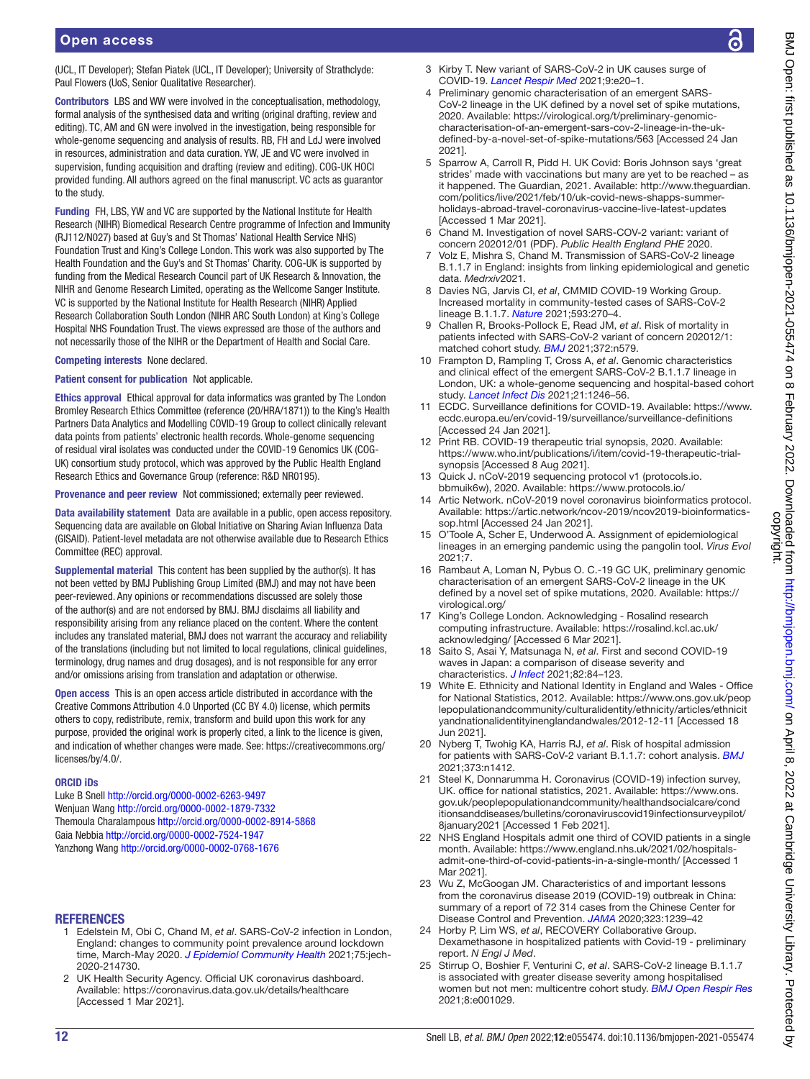(UCL, IT Developer); Stefan Piatek (UCL, IT Developer); University of Strathclyde: Paul Flowers (UoS, Senior Qualitative Researcher).

Contributors LBS and WW were involved in the conceptualisation, methodology, formal analysis of the synthesised data and writing (original drafting, review and editing). TC, AM and GN were involved in the investigation, being responsible for whole-genome sequencing and analysis of results. RB, FH and LdJ were involved in resources, administration and data curation. YW, JE and VC were involved in supervision, funding acquisition and drafting (review and editing). COG-UK HOCI provided funding. All authors agreed on the final manuscript. VC acts as guarantor to the study.

Funding FH, LBS, YW and VC are supported by the National Institute for Health Research (NIHR) Biomedical Research Centre programme of Infection and Immunity (RJ112/N027) based at Guy's and St Thomas' National Health Service NHS) Foundation Trust and King's College London. This work was also supported by The Health Foundation and the Guy's and St Thomas' Charity. COG-UK is supported by funding from the Medical Research Council part of UK Research & Innovation, the NIHR and Genome Research Limited, operating as the Wellcome Sanger Institute. VC is supported by the National Institute for Health Research (NIHR) Applied Research Collaboration South London (NIHR ARC South London) at King's College Hospital NHS Foundation Trust. The views expressed are those of the authors and not necessarily those of the NIHR or the Department of Health and Social Care.

### Competing interests None declared.

### Patient consent for publication Not applicable.

Ethics approval Ethical approval for data informatics was granted by The London Bromley Research Ethics Committee (reference (20/HRA/1871)) to the King's Health Partners Data Analytics and Modelling COVID-19 Group to collect clinically relevant data points from patients' electronic health records. Whole-genome sequencing of residual viral isolates was conducted under the COVID-19 Genomics UK (COG-UK) consortium study protocol, which was approved by the Public Health England Research Ethics and Governance Group (reference: R&D NR0195).

Provenance and peer review Not commissioned; externally peer reviewed.

Data availability statement Data are available in a public, open access repository. Sequencing data are available on Global Initiative on Sharing Avian Influenza Data (GISAID). Patient-level metadata are not otherwise available due to Research Ethics Committee (REC) approval.

Supplemental material This content has been supplied by the author(s). It has not been vetted by BMJ Publishing Group Limited (BMJ) and may not have been peer-reviewed. Any opinions or recommendations discussed are solely those of the author(s) and are not endorsed by BMJ. BMJ disclaims all liability and responsibility arising from any reliance placed on the content. Where the content includes any translated material, BMJ does not warrant the accuracy and reliability of the translations (including but not limited to local regulations, clinical guidelines, terminology, drug names and drug dosages), and is not responsible for any error and/or omissions arising from translation and adaptation or otherwise.

Open access This is an open access article distributed in accordance with the Creative Commons Attribution 4.0 Unported (CC BY 4.0) license, which permits others to copy, redistribute, remix, transform and build upon this work for any purpose, provided the original work is properly cited, a link to the licence is given, and indication of whether changes were made. See: [https://creativecommons.org/](https://creativecommons.org/licenses/by/4.0/) [licenses/by/4.0/.](https://creativecommons.org/licenses/by/4.0/)

#### ORCID iDs

Luke B Snell<http://orcid.org/0000-0002-6263-9497> Wenjuan Wang<http://orcid.org/0000-0002-1879-7332> Themoula Charalampous<http://orcid.org/0000-0002-8914-5868> Gaia Nebbia <http://orcid.org/0000-0002-7524-1947> Yanzhong Wang<http://orcid.org/0000-0002-0768-1676>

### REFERENCES

- <span id="page-11-0"></span>1 Edelstein M, Obi C, Chand M, *et al*. SARS-CoV-2 infection in London, England: changes to community point prevalence around lockdown time, March-May 2020. *[J Epidemiol Community Health](http://dx.doi.org/10.1136/jech-2020-214730)* 2021;75:jech-2020-214730.
- <span id="page-11-1"></span>2 UK Health Security Agency. Official UK coronavirus dashboard. Available: <https://coronavirus.data.gov.uk/details/healthcare> [Accessed 1 Mar 2021].
- <span id="page-11-2"></span>3 Kirby T. New variant of SARS-CoV-2 in UK causes surge of COVID-19. *[Lancet Respir Med](http://dx.doi.org/10.1016/S2213-2600(21)00005-9)* 2021;9:e20–1.
- <span id="page-11-3"></span>Preliminary genomic characterisation of an emergent SARS-CoV-2 lineage in the UK defined by a novel set of spike mutations, 2020. Available: [https://virological.org/t/preliminary-genomic](https://virological.org/t/preliminary-genomic-characterisation-of-an-emergent-sars-cov-2-lineage-in-the-uk-defined-by-a-novel-set-of-spike-mutations/563)[characterisation-of-an-emergent-sars-cov-2-lineage-in-the-uk](https://virological.org/t/preliminary-genomic-characterisation-of-an-emergent-sars-cov-2-lineage-in-the-uk-defined-by-a-novel-set-of-spike-mutations/563)[defined-by-a-novel-set-of-spike-mutations/563](https://virological.org/t/preliminary-genomic-characterisation-of-an-emergent-sars-cov-2-lineage-in-the-uk-defined-by-a-novel-set-of-spike-mutations/563) [Accessed 24 Jan 2021].
- <span id="page-11-4"></span>5 Sparrow A, Carroll R, Pidd H. UK Covid: Boris Johnson says 'great strides' made with vaccinations but many are yet to be reached – as it happened. The Guardian, 2021. Available: [http://www.theguardian.](http://www.theguardian.com/politics/live/2021/feb/10/uk-covid-news-shapps-summer-holidays-abroad-travel-coronavirus-vaccine-live-latest-updates) [com/politics/live/2021/feb/10/uk-covid-news-shapps-summer](http://www.theguardian.com/politics/live/2021/feb/10/uk-covid-news-shapps-summer-holidays-abroad-travel-coronavirus-vaccine-live-latest-updates)[holidays-abroad-travel-coronavirus-vaccine-live-latest-updates](http://www.theguardian.com/politics/live/2021/feb/10/uk-covid-news-shapps-summer-holidays-abroad-travel-coronavirus-vaccine-live-latest-updates) [Accessed 1 Mar 2021].
- <span id="page-11-5"></span>6 Chand M. Investigation of novel SARS-COV-2 variant: variant of concern 202012/01 (PDF). *Public Health England PHE* 2020.
- <span id="page-11-6"></span>7 Volz E, Mishra S, Chand M. Transmission of SARS-CoV-2 lineage B.1.1.7 in England: insights from linking epidemiological and genetic data. *Medrxiv*2021.
- <span id="page-11-7"></span>8 Davies NG, Jarvis CI, *et al*, CMMID COVID-19 Working Group. Increased mortality in community-tested cases of SARS-CoV-2 lineage B.1.1.7. *[Nature](http://dx.doi.org/10.1038/s41586-021-03426-1)* 2021;593:270–4.
- <span id="page-11-8"></span>9 Challen R, Brooks-Pollock E, Read JM, *et al*. Risk of mortality in patients infected with SARS-CoV-2 variant of concern 202012/1: matched cohort study. *[BMJ](http://dx.doi.org/10.1136/bmj.n579)* 2021;372:n579.
- <span id="page-11-9"></span>10 Frampton D, Rampling T, Cross A, *et al*. Genomic characteristics and clinical effect of the emergent SARS-CoV-2 B.1.1.7 lineage in London, UK: a whole-genome sequencing and hospital-based cohort study. *[Lancet Infect Dis](http://dx.doi.org/10.1016/S1473-3099(21)00170-5)* 2021;21:1246–56.
- <span id="page-11-10"></span>11 ECDC. Surveillance definitions for COVID-19. Available: [https://www.](https://www.ecdc.europa.eu/en/covid-19/surveillance/surveillance-definitions) [ecdc.europa.eu/en/covid-19/surveillance/surveillance-definitions](https://www.ecdc.europa.eu/en/covid-19/surveillance/surveillance-definitions)  [Accessed 24 Jan 2021].
- <span id="page-11-11"></span>12 Print RB. COVID-19 therapeutic trial synopsis, 2020. Available: [https://www.who.int/publications/i/item/covid-19-therapeutic-trial](https://www.who.int/publications/i/item/covid-19-therapeutic-trial-synopsis)[synopsis](https://www.who.int/publications/i/item/covid-19-therapeutic-trial-synopsis) [Accessed 8 Aug 2021].
- <span id="page-11-12"></span>13 Quick J. nCoV-2019 sequencing protocol v1 (protocols.io. bbmuik6w), 2020. Available: <https://www.protocols.io/>
- <span id="page-11-13"></span>14 Artic Network. nCoV-2019 novel coronavirus bioinformatics protocol. Available: [https://artic.network/ncov-2019/ncov2019-bioinformatics](https://artic.network/ncov-2019/ncov2019-bioinformatics-sop.html)[sop.html](https://artic.network/ncov-2019/ncov2019-bioinformatics-sop.html) [Accessed 24 Jan 2021].
- <span id="page-11-14"></span>15 O'Toole A, Scher E, Underwood A. Assignment of epidemiological lineages in an emerging pandemic using the pangolin tool. *Virus Evol* 2021;7.
- <span id="page-11-15"></span>16 Rambaut A, Loman N, Pybus O. C.-19 GC UK, preliminary genomic characterisation of an emergent SARS-CoV-2 lineage in the UK defined by a novel set of spike mutations, 2020. Available: [https://](https://virological.org/) [virological.org/](https://virological.org/)
- <span id="page-11-16"></span>17 King's College London. Acknowledging - Rosalind research computing infrastructure. Available: [https://rosalind.kcl.ac.uk/](https://rosalind.kcl.ac.uk/acknowledging/) [acknowledging/](https://rosalind.kcl.ac.uk/acknowledging/) [Accessed 6 Mar 2021].
- <span id="page-11-17"></span>18 Saito S, Asai Y, Matsunaga N, *et al*. First and second COVID-19 waves in Japan: a comparison of disease severity and characteristics. *[J Infect](http://dx.doi.org/10.1016/j.jinf.2020.10.033)* 2021;82:84–123.
- <span id="page-11-18"></span>19 White E. Ethnicity and National Identity in England and Wales - Office for National Statistics, 2012. Available: [https://www.ons.gov.uk/peop](https://www.ons.gov.uk/peoplepopulationandcommunity/culturalidentity/ethnicity/articles/ethnicityandnationalidentityinenglandandwales/2012-12-11) [lepopulationandcommunity/culturalidentity/ethnicity/articles/ethnicit](https://www.ons.gov.uk/peoplepopulationandcommunity/culturalidentity/ethnicity/articles/ethnicityandnationalidentityinenglandandwales/2012-12-11) [yandnationalidentityinenglandandwales/2012-12-11](https://www.ons.gov.uk/peoplepopulationandcommunity/culturalidentity/ethnicity/articles/ethnicityandnationalidentityinenglandandwales/2012-12-11) [Accessed 18 Jun 2021].
- <span id="page-11-23"></span>20 Nyberg T, Twohig KA, Harris RJ, *et al*. Risk of hospital admission for patients with SARS-CoV-2 variant B.1.1.7: cohort analysis. *[BMJ](http://dx.doi.org/10.1136/bmj.n1412)* 2021;373:n1412.
- <span id="page-11-19"></span>21 Steel K, Donnarumma H. Coronavirus (COVID-19) infection survey, UK. office for national statistics, 2021. Available: [https://www.ons.](https://www.ons.gov.uk/peoplepopulationandcommunity/healthandsocialcare/conditionsanddiseases/bulletins/coronaviruscovid19infectionsurveypilot/8january2021) [gov.uk/peoplepopulationandcommunity/healthandsocialcare/cond](https://www.ons.gov.uk/peoplepopulationandcommunity/healthandsocialcare/conditionsanddiseases/bulletins/coronaviruscovid19infectionsurveypilot/8january2021) [itionsanddiseases/bulletins/coronaviruscovid19infectionsurveypilot/](https://www.ons.gov.uk/peoplepopulationandcommunity/healthandsocialcare/conditionsanddiseases/bulletins/coronaviruscovid19infectionsurveypilot/8january2021) [8january2021](https://www.ons.gov.uk/peoplepopulationandcommunity/healthandsocialcare/conditionsanddiseases/bulletins/coronaviruscovid19infectionsurveypilot/8january2021) [Accessed 1 Feb 2021].
- <span id="page-11-20"></span>22 NHS England Hospitals admit one third of COVID patients in a single month. Available: [https://www.england.nhs.uk/2021/02/hospitals](https://www.england.nhs.uk/2021/02/hospitals-admit-one-third-of-covid-patients-in-a-single-month/)[admit-one-third-of-covid-patients-in-a-single-month/](https://www.england.nhs.uk/2021/02/hospitals-admit-one-third-of-covid-patients-in-a-single-month/) [Accessed 1 Mar 2021].
- <span id="page-11-21"></span>23 Wu Z, McGoogan JM. Characteristics of and important lessons from the coronavirus disease 2019 (COVID-19) outbreak in China: summary of a report of 72 314 cases from the Chinese Center for Disease Control and Prevention. *[JAMA](http://dx.doi.org/10.1001/jama.2020.2648)* 2020;323:1239–42
- <span id="page-11-22"></span>24 Horby P, Lim WS, *et al*, RECOVERY Collaborative Group. Dexamethasone in hospitalized patients with Covid-19 - preliminary report. *N Engl J Med*.
- <span id="page-11-24"></span>25 Stirrup O, Boshier F, Venturini C, *et al*. SARS-CoV-2 lineage B.1.1.7 is associated with greater disease severity among hospitalised women but not men: multicentre cohort study. *[BMJ Open Respir Res](http://dx.doi.org/10.1136/bmjresp-2021-001029)* 2021;8:e001029.

ζ

Я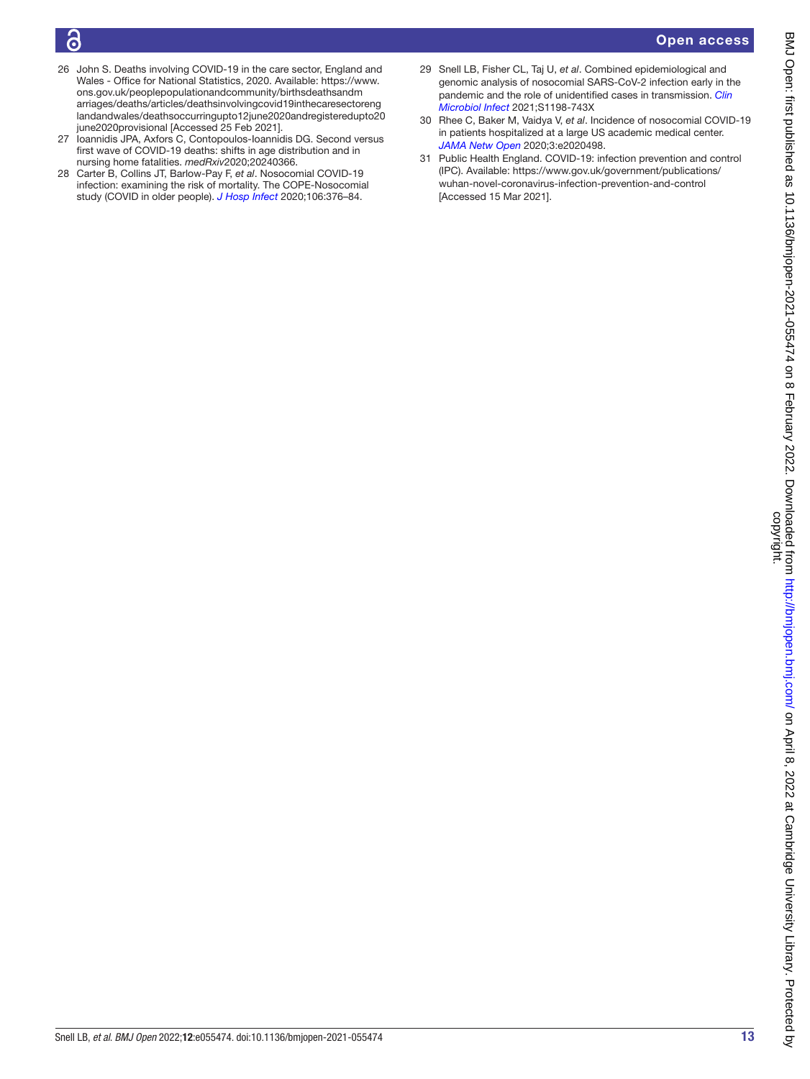ခြ

# Open access

- <span id="page-12-0"></span>26 John S. Deaths involving COVID-19 in the care sector, England and Wales - Office for National Statistics, 2020. Available: [https://www.](https://www.ons.gov.uk/peoplepopulationandcommunity/birthsdeathsandmarriages/deaths/articles/deathsinvolvingcovid19inthecaresectorenglandandwales/deathsoccurringupto12june2020andregisteredupto20june2020provisional) [ons.gov.uk/peoplepopulationandcommunity/birthsdeathsandm](https://www.ons.gov.uk/peoplepopulationandcommunity/birthsdeathsandmarriages/deaths/articles/deathsinvolvingcovid19inthecaresectorenglandandwales/deathsoccurringupto12june2020andregisteredupto20june2020provisional) [arriages/deaths/articles/deathsinvolvingcovid19inthecaresectoreng](https://www.ons.gov.uk/peoplepopulationandcommunity/birthsdeathsandmarriages/deaths/articles/deathsinvolvingcovid19inthecaresectorenglandandwales/deathsoccurringupto12june2020andregisteredupto20june2020provisional) [landandwales/deathsoccurringupto12june2020andregisteredupto20](https://www.ons.gov.uk/peoplepopulationandcommunity/birthsdeathsandmarriages/deaths/articles/deathsinvolvingcovid19inthecaresectorenglandandwales/deathsoccurringupto12june2020andregisteredupto20june2020provisional) [june2020provisional](https://www.ons.gov.uk/peoplepopulationandcommunity/birthsdeathsandmarriages/deaths/articles/deathsinvolvingcovid19inthecaresectorenglandandwales/deathsoccurringupto12june2020andregisteredupto20june2020provisional) [Accessed 25 Feb 2021].
- <span id="page-12-1"></span>27 Ioannidis JPA, Axfors C, Contopoulos-Ioannidis DG. Second versus first wave of COVID-19 deaths: shifts in age distribution and in nursing home fatalities. *medRxiv*2020;20240366.
- <span id="page-12-2"></span>28 Carter B, Collins JT, Barlow-Pay F, *et al*. Nosocomial COVID-19 infection: examining the risk of mortality. The COPE-Nosocomial study (COVID in older people). *[J Hosp Infect](http://dx.doi.org/10.1016/j.jhin.2020.07.013)* 2020;106:376–84.
- 29 Snell LB, Fisher CL, Taj U, *et al*. Combined epidemiological and genomic analysis of nosocomial SARS-CoV-2 infection early in the pandemic and the role of unidentified cases in transmission. *[Clin](http://dx.doi.org/10.1016/j.cmi.2021.07.040)  [Microbiol Infect](http://dx.doi.org/10.1016/j.cmi.2021.07.040)* 2021;S1198-743X
- <span id="page-12-3"></span>30 Rhee C, Baker M, Vaidya V, *et al*. Incidence of nosocomial COVID-19 in patients hospitalized at a large US academic medical center. *[JAMA Netw Open](http://dx.doi.org/10.1001/jamanetworkopen.2020.20498)* 2020;3:e2020498.
- <span id="page-12-4"></span>31 Public Health England. COVID-19: infection prevention and control (IPC). Available: [https://www.gov.uk/government/publications/](https://www.gov.uk/government/publications/wuhan-novel-coronavirus-infection-prevention-and-control) [wuhan-novel-coronavirus-infection-prevention-and-control](https://www.gov.uk/government/publications/wuhan-novel-coronavirus-infection-prevention-and-control) [Accessed 15 Mar 2021].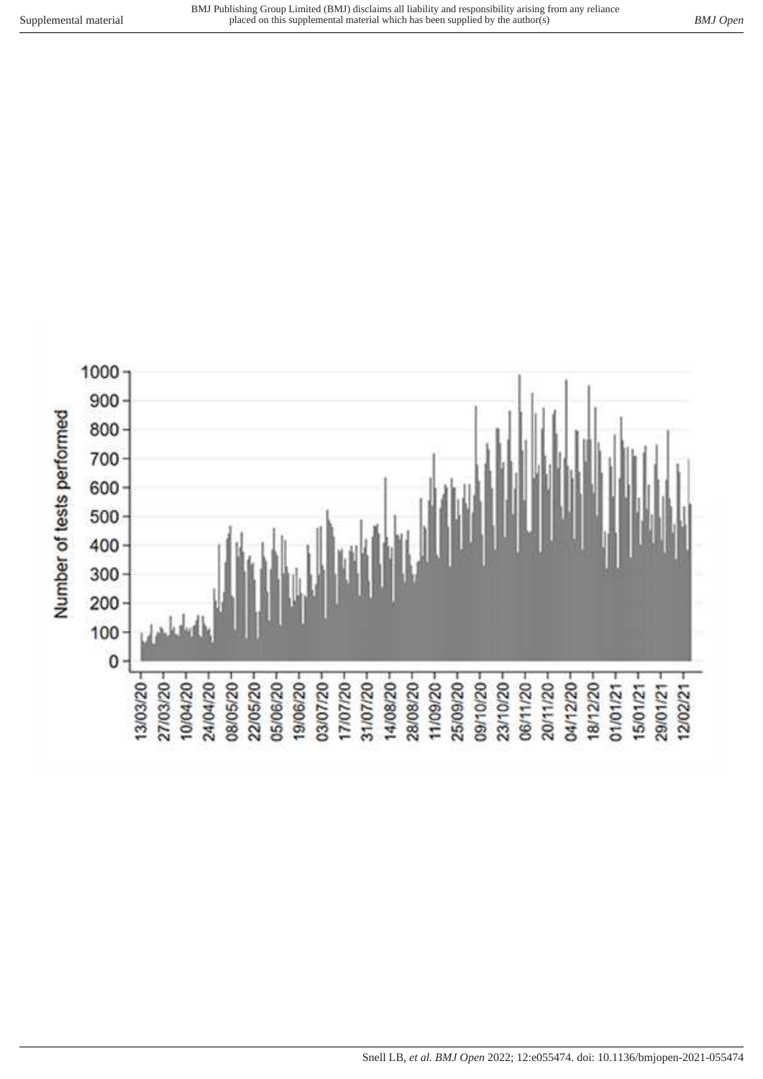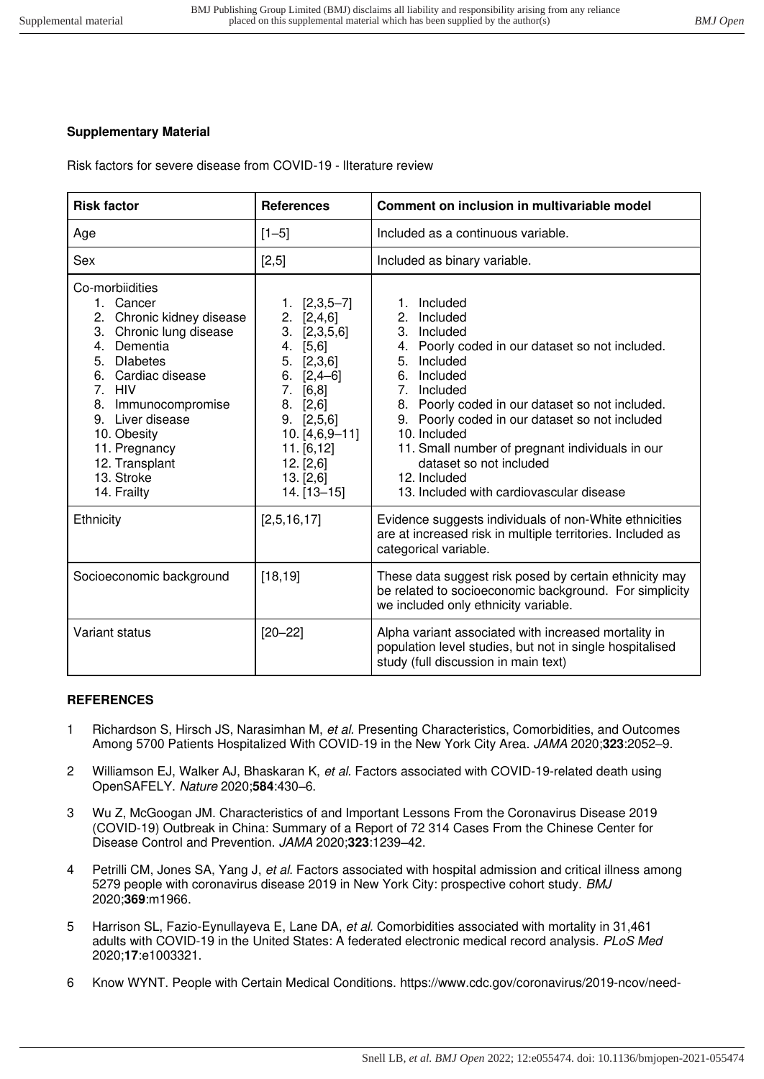# **Supplementary Material**

Risk factors for severe disease from COVID-19 - lIterature review

| <b>Risk factor</b>                                                                                                                                                                                                                                                                           | <b>References</b>                                                                                                                                                                                                                | Comment on inclusion in multivariable model                                                                                                                                                                                                                                                                                                                                                                                                  |
|----------------------------------------------------------------------------------------------------------------------------------------------------------------------------------------------------------------------------------------------------------------------------------------------|----------------------------------------------------------------------------------------------------------------------------------------------------------------------------------------------------------------------------------|----------------------------------------------------------------------------------------------------------------------------------------------------------------------------------------------------------------------------------------------------------------------------------------------------------------------------------------------------------------------------------------------------------------------------------------------|
| Age                                                                                                                                                                                                                                                                                          | $[1 - 5]$                                                                                                                                                                                                                        | Included as a continuous variable.                                                                                                                                                                                                                                                                                                                                                                                                           |
| Sex                                                                                                                                                                                                                                                                                          | [2,5]                                                                                                                                                                                                                            | Included as binary variable.                                                                                                                                                                                                                                                                                                                                                                                                                 |
| Co-morbiidities<br>1. Cancer<br>2.<br>Chronic kidney disease<br>3. Chronic lung disease<br>Dementia<br>4.<br><b>Dlabetes</b><br>5.<br>6. Cardiac disease<br>7. HIV<br>8. Immunocompromise<br>9. Liver disease<br>10. Obesity<br>11. Pregnancy<br>12. Transplant<br>13. Stroke<br>14. Frailty | $1. [2,3,5-7]$<br>2. [2, 4, 6]<br>[2,3,5,6]<br>3.<br>4.<br>[5,6]<br>5.<br>[2,3,6]<br>6.<br>$[2, 4 - 6]$<br>7.<br>[6, 8]<br>8.<br>[2,6]<br>9. [2,5,6]<br>$10. [4,6,9-11]$<br>11. [6, 12]<br>12. [2,6]<br>13. [2,6]<br>14. [13-15] | 1. Included<br>Included<br>2 <sup>2</sup><br>3. Included<br>4. Poorly coded in our dataset so not included.<br>5.<br>Included<br>6.<br>Included<br>7 <sub>1</sub><br>Included<br>8. Poorly coded in our dataset so not included.<br>9. Poorly coded in our dataset so not included<br>10. Included<br>11. Small number of pregnant individuals in our<br>dataset so not included<br>12. Included<br>13. Included with cardiovascular disease |
| Ethnicity                                                                                                                                                                                                                                                                                    | [2,5,16,17]                                                                                                                                                                                                                      | Evidence suggests individuals of non-White ethnicities<br>are at increased risk in multiple territories. Included as<br>categorical variable.                                                                                                                                                                                                                                                                                                |
| Socioeconomic background                                                                                                                                                                                                                                                                     | [18, 19]                                                                                                                                                                                                                         | These data suggest risk posed by certain ethnicity may<br>be related to socioeconomic background. For simplicity<br>we included only ethnicity variable.                                                                                                                                                                                                                                                                                     |
| Variant status                                                                                                                                                                                                                                                                               | $[20 - 22]$                                                                                                                                                                                                                      | Alpha variant associated with increased mortality in<br>population level studies, but not in single hospitalised<br>study (full discussion in main text)                                                                                                                                                                                                                                                                                     |

# **REFERENCES**

- 1 [Richardson S, Hirsch JS, Narasimhan M,](http://paperpile.com/b/WKOrCl/4Dzf) [et al.](http://paperpile.com/b/WKOrCl/4Dzf) [Presenting Characteristics, Comorbidities, and Outcomes](http://paperpile.com/b/WKOrCl/4Dzf)  [Among 5700 Patients Hospitalized With COVID-19 in the New York City Area.](http://paperpile.com/b/WKOrCl/4Dzf) [JAMA](http://paperpile.com/b/WKOrCl/4Dzf) [2020;](http://paperpile.com/b/WKOrCl/4Dzf)**[323](http://paperpile.com/b/WKOrCl/4Dzf)**[:2052](http://paperpile.com/b/WKOrCl/4Dzf)–9.
- 2 [Williamson EJ, Walker AJ, Bhaskaran K,](http://paperpile.com/b/WKOrCl/iJdm) [et al.](http://paperpile.com/b/WKOrCl/iJdm) Factors associated with COVID-19-related death using [OpenSAFELY.](http://paperpile.com/b/WKOrCl/iJdm) [Nature](http://paperpile.com/b/WKOrCl/iJdm) [2020;](http://paperpile.com/b/WKOrCl/iJdm)**[584](http://paperpile.com/b/WKOrCl/iJdm)**[:430](http://paperpile.com/b/WKOrCl/iJdm)–6.
- 3 [Wu Z, McGoogan JM. Characteristics of and Important Lessons From the Coronavirus Disease 2019](http://paperpile.com/b/WKOrCl/k0WU)  [\(COVID-19\) Outbreak in China: Summary of a Report of 72 314 Cases From the Chinese Center for](http://paperpile.com/b/WKOrCl/k0WU)  [Disease Control and Prevention.](http://paperpile.com/b/WKOrCl/k0WU) [JAMA](http://paperpile.com/b/WKOrCl/k0WU) [2020;](http://paperpile.com/b/WKOrCl/k0WU)**[323](http://paperpile.com/b/WKOrCl/k0WU)**[:1239](http://paperpile.com/b/WKOrCl/k0WU)–42.
- 4 [Petrilli CM, Jones SA, Yang J,](http://paperpile.com/b/WKOrCl/ktuu) [et al.](http://paperpile.com/b/WKOrCl/ktuu) Factors associated with hospital admission and critical illness among [5279 people with coronavirus disease 2019 in New York City: prospective cohort study.](http://paperpile.com/b/WKOrCl/ktuu) [BMJ](http://paperpile.com/b/WKOrCl/ktuu) [2020;](http://paperpile.com/b/WKOrCl/ktuu)**[369](http://paperpile.com/b/WKOrCl/ktuu)**[:m1966.](http://paperpile.com/b/WKOrCl/ktuu)
- 5 [Harrison SL, Fazio-Eynullayeva E, Lane DA,](http://paperpile.com/b/WKOrCl/Friw) [et al.](http://paperpile.com/b/WKOrCl/Friw) Comorbidities associated with mortality in 31,461 [adults with COVID-19 in the United States: A federated electronic medical record analysis.](http://paperpile.com/b/WKOrCl/Friw) [PLoS Med](http://paperpile.com/b/WKOrCl/Friw) [2020;](http://paperpile.com/b/WKOrCl/Friw)**[17](http://paperpile.com/b/WKOrCl/Friw)**[:e1003321.](http://paperpile.com/b/WKOrCl/Friw)
- 6 [Know WYNT. People with Certain Medical Conditions.](http://paperpile.com/b/WKOrCl/7SHh) [https://www.cdc.gov/coronavirus/2019-ncov/need-](https://www.cdc.gov/coronavirus/2019-ncov/need-extra-precautions/people-with-medical-conditions.html)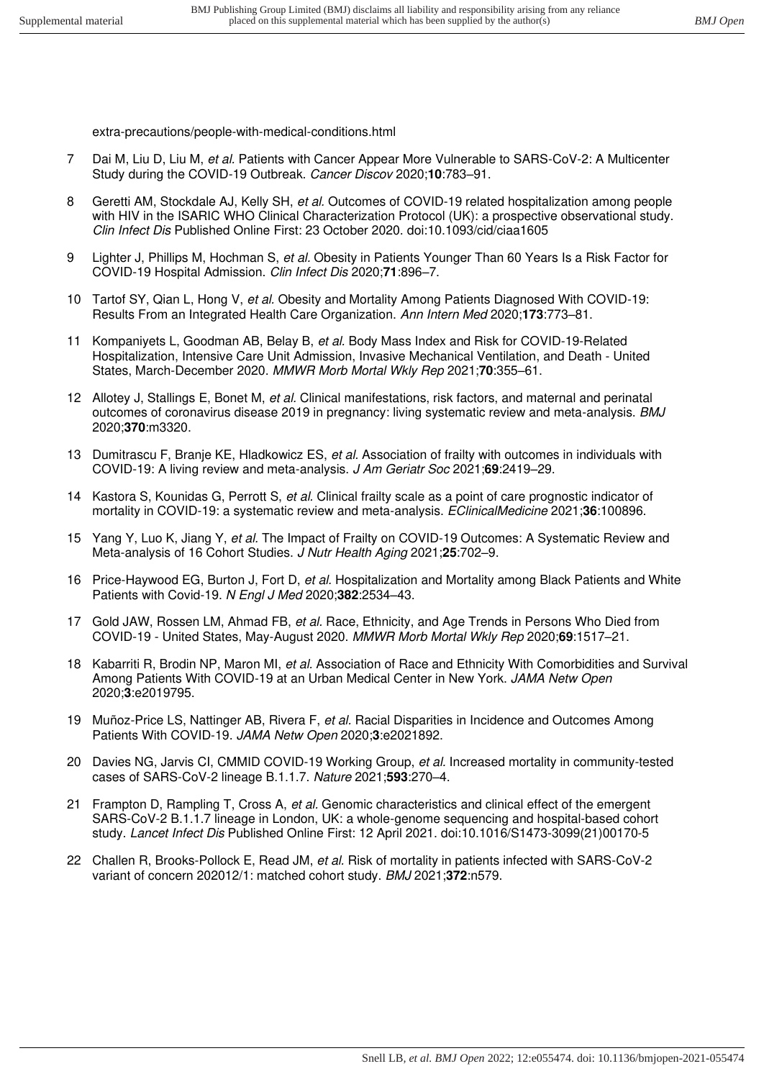[extra-precautions/people-with-medical-conditions.html](https://www.cdc.gov/coronavirus/2019-ncov/need-extra-precautions/people-with-medical-conditions.html) 

- 7 [Dai M, Liu D, Liu M,](http://paperpile.com/b/WKOrCl/3dqq) [et al.](http://paperpile.com/b/WKOrCl/3dqq) Patients with Cancer Appear More Vulnerable to SARS-CoV-2: A Multicenter [Study during the COVID-19 Outbreak.](http://paperpile.com/b/WKOrCl/3dqq) [Cancer Discov](http://paperpile.com/b/WKOrCl/3dqq) [2020;](http://paperpile.com/b/WKOrCl/3dqq)**[10](http://paperpile.com/b/WKOrCl/3dqq)**[:783](http://paperpile.com/b/WKOrCl/3dqq)–91.
- 8 [Geretti AM, Stockdale AJ, Kelly SH,](http://paperpile.com/b/WKOrCl/OmoT) [et al.](http://paperpile.com/b/WKOrCl/OmoT) Outcomes of COVID-19 related hospitalization among people [with HIV in the ISARIC WHO Clinical Characterization Protocol \(UK\): a prospective observational study.](http://paperpile.com/b/WKOrCl/OmoT)  [Clin Infect Dis](http://paperpile.com/b/WKOrCl/OmoT) [Published Online First: 23 October 2020. doi:](http://paperpile.com/b/WKOrCl/OmoT)[10.1093/cid/ciaa1605](http://dx.doi.org/10.1093/cid/ciaa1605)
- 9 [Lighter J, Phillips M, Hochman S,](http://paperpile.com/b/WKOrCl/aiyX) [et al.](http://paperpile.com/b/WKOrCl/aiyX) Obesity in Patients Younger Than 60 Years Is a Risk Factor for [COVID-19 Hospital Admission.](http://paperpile.com/b/WKOrCl/aiyX) [Clin Infect Dis](http://paperpile.com/b/WKOrCl/aiyX) [2020;](http://paperpile.com/b/WKOrCl/aiyX)**[71](http://paperpile.com/b/WKOrCl/aiyX)**[:896](http://paperpile.com/b/WKOrCl/aiyX)–7.
- 10 [Tartof SY, Qian L, Hong V,](http://paperpile.com/b/WKOrCl/AfTS) [et al.](http://paperpile.com/b/WKOrCl/AfTS) [Obesity and Mortality Among Patients Diagnosed With COVID-19:](http://paperpile.com/b/WKOrCl/AfTS)  [Results From an Integrated Health Care Organization.](http://paperpile.com/b/WKOrCl/AfTS) [Ann Intern Med](http://paperpile.com/b/WKOrCl/AfTS) [2020;](http://paperpile.com/b/WKOrCl/AfTS)**[173](http://paperpile.com/b/WKOrCl/AfTS)**[:773](http://paperpile.com/b/WKOrCl/AfTS)–81.
- 11 [Kompaniyets L, Goodman AB, Belay B,](http://paperpile.com/b/WKOrCl/rdRD) [et al.](http://paperpile.com/b/WKOrCl/rdRD) [Body Mass Index and Risk for COVID-19-Related](http://paperpile.com/b/WKOrCl/rdRD)  [Hospitalization, Intensive Care Unit Admission, Invasive Mechanical Ventilation, and Death - United](http://paperpile.com/b/WKOrCl/rdRD)  [States, March-December 2020.](http://paperpile.com/b/WKOrCl/rdRD) [MMWR Morb Mortal Wkly Rep](http://paperpile.com/b/WKOrCl/rdRD) [2021;](http://paperpile.com/b/WKOrCl/rdRD)**[70](http://paperpile.com/b/WKOrCl/rdRD)**[:355](http://paperpile.com/b/WKOrCl/rdRD)–61.
- 12 [Allotey J, Stallings E, Bonet M,](http://paperpile.com/b/WKOrCl/8t0n) [et al.](http://paperpile.com/b/WKOrCl/8t0n) Clinical manifestations, risk factors, and maternal and perinatal [outcomes of coronavirus disease 2019 in pregnancy: living systematic review and meta-analysis.](http://paperpile.com/b/WKOrCl/8t0n) [BMJ](http://paperpile.com/b/WKOrCl/8t0n) [2020;](http://paperpile.com/b/WKOrCl/8t0n)**[370](http://paperpile.com/b/WKOrCl/8t0n)**[:m3320.](http://paperpile.com/b/WKOrCl/8t0n)
- 13 [Dumitrascu F, Branje KE, Hladkowicz ES,](http://paperpile.com/b/WKOrCl/0azk) [et al.](http://paperpile.com/b/WKOrCl/0azk) Association of frailty with outcomes in individuals with [COVID-19: A living review and meta-analysis.](http://paperpile.com/b/WKOrCl/0azk) [J Am Geriatr Soc](http://paperpile.com/b/WKOrCl/0azk) [2021;](http://paperpile.com/b/WKOrCl/0azk)**[69](http://paperpile.com/b/WKOrCl/0azk)**[:2419](http://paperpile.com/b/WKOrCl/0azk)–29.
- 14 [Kastora S, Kounidas G, Perrott S,](http://paperpile.com/b/WKOrCl/yFnI) [et al.](http://paperpile.com/b/WKOrCl/yFnI) Clinical frailty scale as a point of care prognostic indicator of [mortality in COVID-19: a systematic review and meta-analysis.](http://paperpile.com/b/WKOrCl/yFnI) [EClinicalMedicine](http://paperpile.com/b/WKOrCl/yFnI) [2021;](http://paperpile.com/b/WKOrCl/yFnI)**[36](http://paperpile.com/b/WKOrCl/yFnI)**[:100896.](http://paperpile.com/b/WKOrCl/yFnI)
- 15 [Yang Y, Luo K, Jiang Y,](http://paperpile.com/b/WKOrCl/NQ6w) [et al.](http://paperpile.com/b/WKOrCl/NQ6w) The Impact of Frailty on COVID-19 Outcomes: A Systematic Review and [Meta-analysis of 16 Cohort Studies.](http://paperpile.com/b/WKOrCl/NQ6w) [J Nutr Health Aging](http://paperpile.com/b/WKOrCl/NQ6w) [2021;](http://paperpile.com/b/WKOrCl/NQ6w)**[25](http://paperpile.com/b/WKOrCl/NQ6w)**[:702](http://paperpile.com/b/WKOrCl/NQ6w)–9.
- 16 [Price-Haywood EG, Burton J, Fort D,](http://paperpile.com/b/WKOrCl/mz42) [et al.](http://paperpile.com/b/WKOrCl/mz42) Hospitalization and Mortality among Black Patients and White [Patients with Covid-19.](http://paperpile.com/b/WKOrCl/mz42) [N Engl J Med](http://paperpile.com/b/WKOrCl/mz42) [2020;](http://paperpile.com/b/WKOrCl/mz42)**[382](http://paperpile.com/b/WKOrCl/mz42)**[:2534](http://paperpile.com/b/WKOrCl/mz42)–43.
- 17 [Gold JAW, Rossen LM, Ahmad FB,](http://paperpile.com/b/WKOrCl/byqJ) [et al.](http://paperpile.com/b/WKOrCl/byqJ) Race, Ethnicity, and Age Trends in Persons Who Died from [COVID-19 - United States, May-August 2020.](http://paperpile.com/b/WKOrCl/byqJ) [MMWR Morb Mortal Wkly Rep](http://paperpile.com/b/WKOrCl/byqJ) [2020;](http://paperpile.com/b/WKOrCl/byqJ)**[69](http://paperpile.com/b/WKOrCl/byqJ)**[:1517](http://paperpile.com/b/WKOrCl/byqJ)–21.
- 18 [Kabarriti R, Brodin NP, Maron MI,](http://paperpile.com/b/WKOrCl/ZhZX) [et al.](http://paperpile.com/b/WKOrCl/ZhZX) Association of Race and Ethnicity With Comorbidities and Survival [Among Patients With COVID-19 at an Urban Medical Center in New York.](http://paperpile.com/b/WKOrCl/ZhZX) [JAMA Netw Open](http://paperpile.com/b/WKOrCl/ZhZX) [2020;](http://paperpile.com/b/WKOrCl/ZhZX)**[3](http://paperpile.com/b/WKOrCl/ZhZX)**[:e2019795.](http://paperpile.com/b/WKOrCl/ZhZX)
- 19 [Muñoz-Price LS, Nattinger AB, Rivera F,](http://paperpile.com/b/WKOrCl/qiVk) [et al.](http://paperpile.com/b/WKOrCl/qiVk) Racial Disparities in Incidence and Outcomes Among [Patients With COVID-19.](http://paperpile.com/b/WKOrCl/qiVk) [JAMA Netw Open](http://paperpile.com/b/WKOrCl/qiVk) [2020;](http://paperpile.com/b/WKOrCl/qiVk)**[3](http://paperpile.com/b/WKOrCl/qiVk)**[:e2021892.](http://paperpile.com/b/WKOrCl/qiVk)
- 20 [Davies NG, Jarvis CI, CMMID COVID-19 Working Group,](http://paperpile.com/b/WKOrCl/tEk7) [et al.](http://paperpile.com/b/WKOrCl/tEk7) Increased mortality in community-tested [cases of SARS-CoV-2 lineage B.1.1.7.](http://paperpile.com/b/WKOrCl/tEk7) [Nature](http://paperpile.com/b/WKOrCl/tEk7) [2021;](http://paperpile.com/b/WKOrCl/tEk7)**[593](http://paperpile.com/b/WKOrCl/tEk7)**[:270](http://paperpile.com/b/WKOrCl/tEk7)–4.
- 21 [Frampton D, Rampling T, Cross A,](http://paperpile.com/b/WKOrCl/Ngpx) [et al.](http://paperpile.com/b/WKOrCl/Ngpx) Genomic characteristics and clinical effect of the emergent [SARS-CoV-2 B.1.1.7 lineage in London, UK: a whole-genome sequencing and hospital-based cohort](http://paperpile.com/b/WKOrCl/Ngpx)  [study.](http://paperpile.com/b/WKOrCl/Ngpx) [Lancet Infect Dis](http://paperpile.com/b/WKOrCl/Ngpx) [Published Online First: 12 April 2021. doi:](http://paperpile.com/b/WKOrCl/Ngpx)[10.1016/S1473-3099\(21\)00170-5](http://dx.doi.org/10.1016/S1473-3099(21)00170-5)
- 22 [Challen R, Brooks-Pollock E, Read JM,](http://paperpile.com/b/WKOrCl/nAhT) [et al.](http://paperpile.com/b/WKOrCl/nAhT) Risk of mortality in patients infected with SARS-CoV-2 [variant of concern 202012/1: matched cohort study.](http://paperpile.com/b/WKOrCl/nAhT) [BMJ](http://paperpile.com/b/WKOrCl/nAhT) [2021;](http://paperpile.com/b/WKOrCl/nAhT)**[372](http://paperpile.com/b/WKOrCl/nAhT)**[:n579.](http://paperpile.com/b/WKOrCl/nAhT)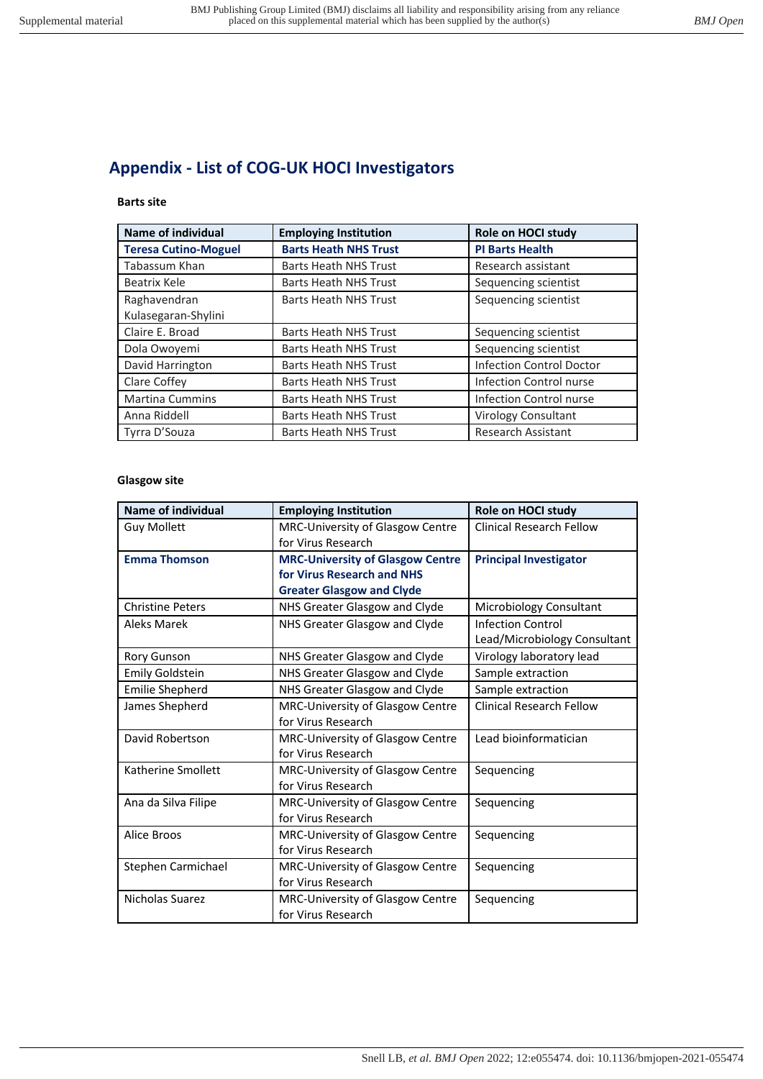# **Appendix - List of COG-UK HOCI Investigators**

# **Barts site**

| Name of individual          | <b>Employing Institution</b> | Role on HOCI study        |
|-----------------------------|------------------------------|---------------------------|
| <b>Teresa Cutino-Moguel</b> | <b>Barts Heath NHS Trust</b> | <b>PI Barts Health</b>    |
| Tabassum Khan               | <b>Barts Heath NHS Trust</b> | Research assistant        |
| Beatrix Kele                | <b>Barts Heath NHS Trust</b> | Sequencing scientist      |
| Raghavendran                | <b>Barts Heath NHS Trust</b> | Sequencing scientist      |
| Kulasegaran-Shylini         |                              |                           |
| Claire E. Broad             | <b>Barts Heath NHS Trust</b> | Sequencing scientist      |
| Dola Owoyemi                | <b>Barts Heath NHS Trust</b> | Sequencing scientist      |
| David Harrington            | <b>Barts Heath NHS Trust</b> | Infection Control Doctor  |
| Clare Coffey                | <b>Barts Heath NHS Trust</b> | Infection Control nurse   |
| <b>Martina Cummins</b>      | <b>Barts Heath NHS Trust</b> | Infection Control nurse   |
| Anna Riddell                | <b>Barts Heath NHS Trust</b> | Virology Consultant       |
| Tyrra D'Souza               | <b>Barts Heath NHS Trust</b> | <b>Research Assistant</b> |

### **Glasgow site**

| <b>Name of individual</b> | <b>Employing Institution</b>            | Role on HOCI study              |
|---------------------------|-----------------------------------------|---------------------------------|
| <b>Guy Mollett</b>        | MRC-University of Glasgow Centre        | <b>Clinical Research Fellow</b> |
|                           | for Virus Research                      |                                 |
| <b>Emma Thomson</b>       | <b>MRC-University of Glasgow Centre</b> | <b>Principal Investigator</b>   |
|                           | for Virus Research and NHS              |                                 |
|                           | <b>Greater Glasgow and Clyde</b>        |                                 |
| <b>Christine Peters</b>   | NHS Greater Glasgow and Clyde           | Microbiology Consultant         |
| Aleks Marek               | NHS Greater Glasgow and Clyde           | <b>Infection Control</b>        |
|                           |                                         | Lead/Microbiology Consultant    |
| <b>Rory Gunson</b>        | NHS Greater Glasgow and Clyde           | Virology laboratory lead        |
| <b>Emily Goldstein</b>    | NHS Greater Glasgow and Clyde           | Sample extraction               |
| <b>Emilie Shepherd</b>    | NHS Greater Glasgow and Clyde           | Sample extraction               |
| James Shepherd            | MRC-University of Glasgow Centre        | <b>Clinical Research Fellow</b> |
|                           | for Virus Research                      |                                 |
| David Robertson           | MRC-University of Glasgow Centre        | Lead bioinformatician           |
|                           | for Virus Research                      |                                 |
| Katherine Smollett        | <b>MRC-University of Glasgow Centre</b> | Sequencing                      |
|                           | for Virus Research                      |                                 |
| Ana da Silva Filipe       | MRC-University of Glasgow Centre        | Sequencing                      |
|                           | for Virus Research                      |                                 |
| Alice Broos               | <b>MRC-University of Glasgow Centre</b> | Sequencing                      |
|                           | for Virus Research                      |                                 |
| Stephen Carmichael        | MRC-University of Glasgow Centre        | Sequencing                      |
|                           | for Virus Research                      |                                 |
| Nicholas Suarez           | MRC-University of Glasgow Centre        | Sequencing                      |
|                           | for Virus Research                      |                                 |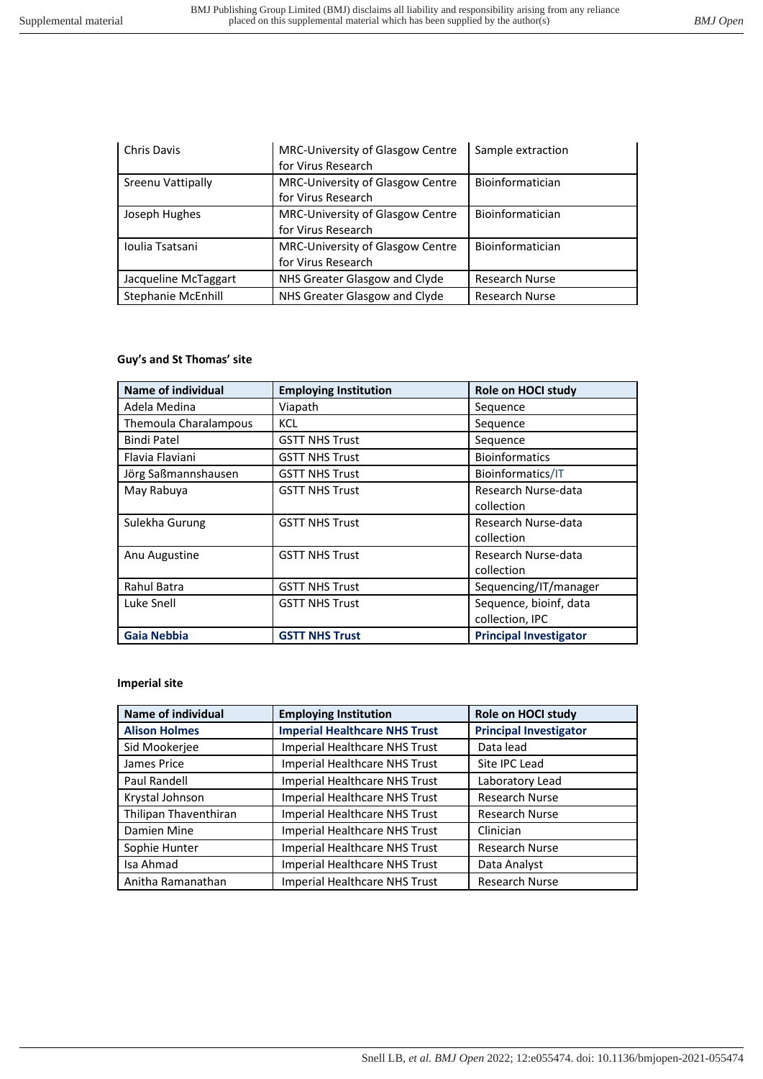| <b>Chris Davis</b>        | MRC-University of Glasgow Centre<br>for Virus Research | Sample extraction     |
|---------------------------|--------------------------------------------------------|-----------------------|
| Sreenu Vattipally         | MRC-University of Glasgow Centre<br>for Virus Research | Bioinformatician      |
| Joseph Hughes             | MRC-University of Glasgow Centre<br>for Virus Research | Bioinformatician      |
| Ioulia Tsatsani           | MRC-University of Glasgow Centre<br>for Virus Research | Bioinformatician      |
| Jacqueline McTaggart      | NHS Greater Glasgow and Clyde                          | <b>Research Nurse</b> |
| <b>Stephanie McEnhill</b> | NHS Greater Glasgow and Clyde                          | <b>Research Nurse</b> |

# **Guy's and St Thomas' site**

| <b>Name of individual</b> | <b>Employing Institution</b> | Role on HOCI study            |
|---------------------------|------------------------------|-------------------------------|
| Adela Medina              | Viapath                      | Sequence                      |
| Themoula Charalampous     | KCL                          | Sequence                      |
| <b>Bindi Patel</b>        | <b>GSTT NHS Trust</b>        | Sequence                      |
| Flavia Flaviani           | <b>GSTT NHS Trust</b>        | <b>Bioinformatics</b>         |
| Jörg Saßmannshausen       | <b>GSTT NHS Trust</b>        | Bioinformatics/IT             |
| May Rabuya                | <b>GSTT NHS Trust</b>        | Research Nurse-data           |
|                           |                              | collection                    |
| Sulekha Gurung            | <b>GSTT NHS Trust</b>        | Research Nurse-data           |
|                           |                              | collection                    |
| Anu Augustine             | <b>GSTT NHS Trust</b>        | Research Nurse-data           |
|                           |                              | collection                    |
| <b>Rahul Batra</b>        | <b>GSTT NHS Trust</b>        | Sequencing/IT/manager         |
| Luke Snell                | <b>GSTT NHS Trust</b>        | Sequence, bioinf, data        |
|                           |                              | collection, IPC               |
| <b>Gaia Nebbia</b>        | <b>GSTT NHS Trust</b>        | <b>Principal Investigator</b> |

# **Imperial site**

| <b>Name of individual</b> | <b>Employing Institution</b>         | Role on HOCI study            |
|---------------------------|--------------------------------------|-------------------------------|
| <b>Alison Holmes</b>      | <b>Imperial Healthcare NHS Trust</b> | <b>Principal Investigator</b> |
| Sid Mookerjee             | Imperial Healthcare NHS Trust        | Data lead                     |
| James Price               | <b>Imperial Healthcare NHS Trust</b> | Site IPC Lead                 |
| Paul Randell              | <b>Imperial Healthcare NHS Trust</b> | Laboratory Lead               |
| Krystal Johnson           | Imperial Healthcare NHS Trust        | <b>Research Nurse</b>         |
| Thilipan Thaventhiran     | Imperial Healthcare NHS Trust        | <b>Research Nurse</b>         |
| Damien Mine               | Imperial Healthcare NHS Trust        | Clinician                     |
| Sophie Hunter             | Imperial Healthcare NHS Trust        | <b>Research Nurse</b>         |
| Isa Ahmad                 | Imperial Healthcare NHS Trust        | Data Analyst                  |
| Anitha Ramanathan         | <b>Imperial Healthcare NHS Trust</b> | <b>Research Nurse</b>         |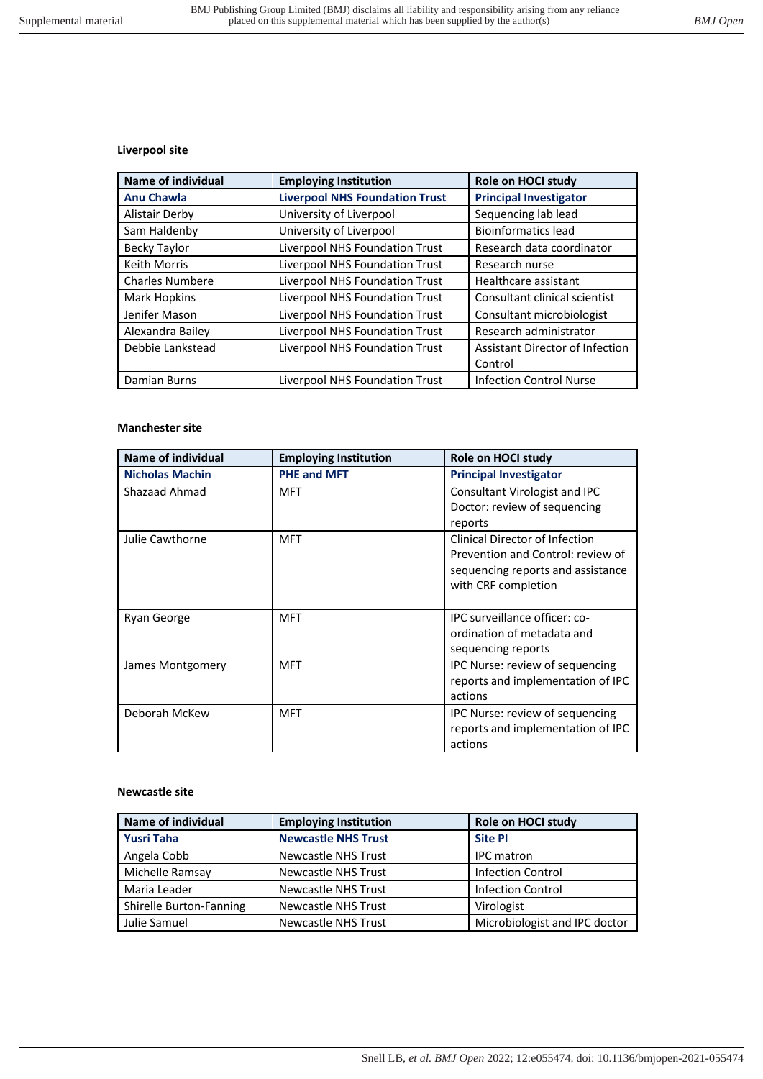# **Liverpool site**

| <b>Name of individual</b> | <b>Employing Institution</b>          | Role on HOCI study              |
|---------------------------|---------------------------------------|---------------------------------|
| <b>Anu Chawla</b>         | <b>Liverpool NHS Foundation Trust</b> | <b>Principal Investigator</b>   |
| <b>Alistair Derby</b>     | University of Liverpool               | Sequencing lab lead             |
| Sam Haldenby              | University of Liverpool               | <b>Bioinformatics lead</b>      |
| Becky Taylor              | Liverpool NHS Foundation Trust        | Research data coordinator       |
| Keith Morris              | Liverpool NHS Foundation Trust        | Research nurse                  |
| <b>Charles Numbere</b>    | Liverpool NHS Foundation Trust        | Healthcare assistant            |
| Mark Hopkins              | Liverpool NHS Foundation Trust        | Consultant clinical scientist   |
| Jenifer Mason             | Liverpool NHS Foundation Trust        | Consultant microbiologist       |
| Alexandra Bailey          | Liverpool NHS Foundation Trust        | Research administrator          |
| Debbie Lankstead          | Liverpool NHS Foundation Trust        | Assistant Director of Infection |
|                           |                                       | Control                         |
| Damian Burns              | Liverpool NHS Foundation Trust        | <b>Infection Control Nurse</b>  |

# **Manchester site**

| <b>Name of individual</b> | <b>Employing Institution</b> | Role on HOCI study                                                                                                              |
|---------------------------|------------------------------|---------------------------------------------------------------------------------------------------------------------------------|
| <b>Nicholas Machin</b>    | <b>PHE and MFT</b>           | <b>Principal Investigator</b>                                                                                                   |
| Shazaad Ahmad             | <b>MFT</b>                   | Consultant Virologist and IPC<br>Doctor: review of sequencing<br>reports                                                        |
| Julie Cawthorne           | <b>MFT</b>                   | Clinical Director of Infection<br>Prevention and Control: review of<br>sequencing reports and assistance<br>with CRF completion |
| Ryan George               | <b>MFT</b>                   | IPC surveillance officer: co-<br>ordination of metadata and<br>sequencing reports                                               |
| James Montgomery          | <b>MFT</b>                   | IPC Nurse: review of sequencing<br>reports and implementation of IPC<br>actions                                                 |
| Deborah McKew             | <b>MFT</b>                   | IPC Nurse: review of sequencing<br>reports and implementation of IPC<br>actions                                                 |

# **Newcastle site**

| Name of individual      | <b>Employing Institution</b> | Role on HOCI study            |
|-------------------------|------------------------------|-------------------------------|
| <b>Yusri Taha</b>       | <b>Newcastle NHS Trust</b>   | <b>Site PI</b>                |
| Angela Cobb             | Newcastle NHS Trust          | <b>IPC</b> matron             |
| Michelle Ramsay         | Newcastle NHS Trust          | <b>Infection Control</b>      |
| Maria Leader            | Newcastle NHS Trust          | <b>Infection Control</b>      |
| Shirelle Burton-Fanning | Newcastle NHS Trust          | Virologist                    |
| Julie Samuel            | Newcastle NHS Trust          | Microbiologist and IPC doctor |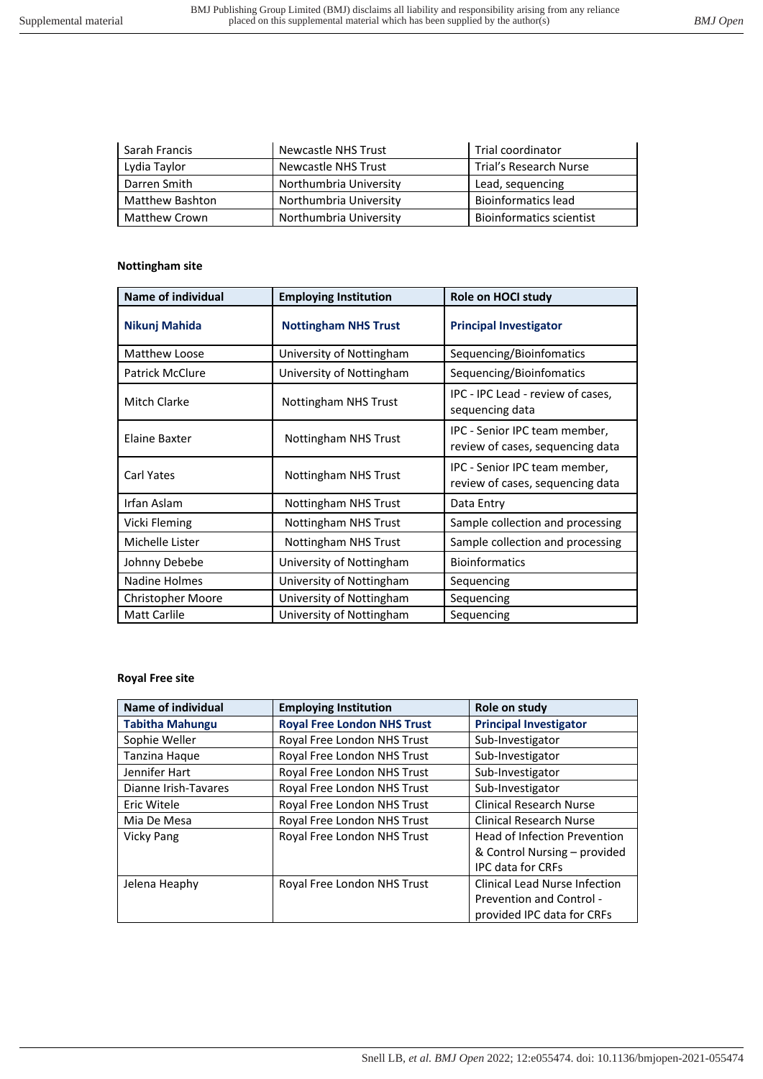| Sarah Francis          | Newcastle NHS Trust    | Trial coordinator               |
|------------------------|------------------------|---------------------------------|
| Lydia Taylor           | Newcastle NHS Trust    | Trial's Research Nurse          |
| Darren Smith           | Northumbria University | Lead, sequencing                |
| <b>Matthew Bashton</b> | Northumbria University | <b>Bioinformatics lead</b>      |
| <b>Matthew Crown</b>   | Northumbria University | <b>Bioinformatics scientist</b> |

### **Nottingham site**

| <b>Name of individual</b> | <b>Employing Institution</b> | Role on HOCI study                                                |
|---------------------------|------------------------------|-------------------------------------------------------------------|
| Nikunj Mahida             | <b>Nottingham NHS Trust</b>  | <b>Principal Investigator</b>                                     |
| Matthew Loose             | University of Nottingham     | Sequencing/Bioinfomatics                                          |
| <b>Patrick McClure</b>    | University of Nottingham     | Sequencing/Bioinfomatics                                          |
| <b>Mitch Clarke</b>       | Nottingham NHS Trust         | IPC - IPC Lead - review of cases,<br>sequencing data              |
| Elaine Baxter             | Nottingham NHS Trust         | IPC - Senior IPC team member,<br>review of cases, sequencing data |
| Carl Yates                | Nottingham NHS Trust         | IPC - Senior IPC team member,<br>review of cases, sequencing data |
| Irfan Aslam               | Nottingham NHS Trust         | Data Entry                                                        |
| Vicki Fleming             | Nottingham NHS Trust         | Sample collection and processing                                  |
| Michelle Lister           | Nottingham NHS Trust         | Sample collection and processing                                  |
| Johnny Debebe             | University of Nottingham     | <b>Bioinformatics</b>                                             |
| Nadine Holmes             | University of Nottingham     | Sequencing                                                        |
| <b>Christopher Moore</b>  | University of Nottingham     | Sequencing                                                        |
| Matt Carlile              | University of Nottingham     | Sequencing                                                        |

# **Royal Free site**

| Name of individual     | <b>Employing Institution</b>       | Role on study                        |
|------------------------|------------------------------------|--------------------------------------|
| <b>Tabitha Mahungu</b> | <b>Royal Free London NHS Trust</b> | <b>Principal Investigator</b>        |
| Sophie Weller          | Royal Free London NHS Trust        | Sub-Investigator                     |
| Tanzina Haque          | Royal Free London NHS Trust        | Sub-Investigator                     |
| Jennifer Hart          | Royal Free London NHS Trust        | Sub-Investigator                     |
| Dianne Irish-Tavares   | Royal Free London NHS Trust        | Sub-Investigator                     |
| Eric Witele            | Royal Free London NHS Trust        | <b>Clinical Research Nurse</b>       |
| Mia De Mesa            | Royal Free London NHS Trust        | <b>Clinical Research Nurse</b>       |
| <b>Vicky Pang</b>      | Royal Free London NHS Trust        | <b>Head of Infection Prevention</b>  |
|                        |                                    | & Control Nursing – provided         |
|                        |                                    | <b>IPC data for CRFs</b>             |
| Jelena Heaphy          | Royal Free London NHS Trust        | <b>Clinical Lead Nurse Infection</b> |
|                        |                                    | Prevention and Control -             |
|                        |                                    | provided IPC data for CRFs           |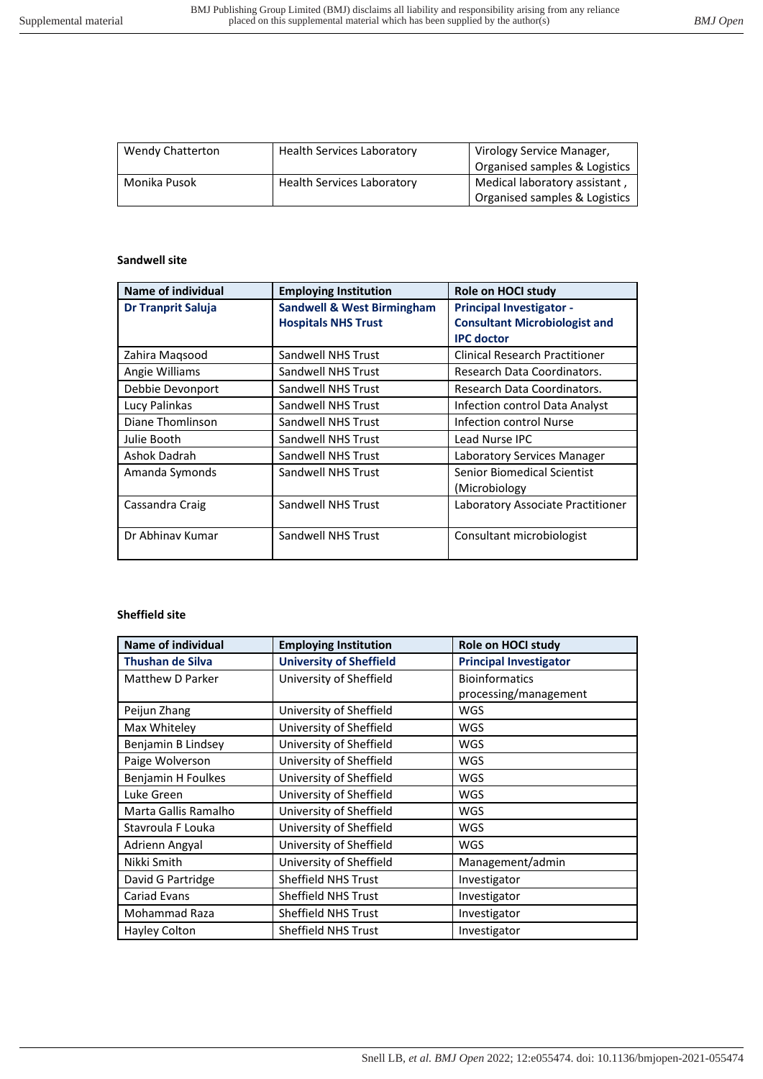| <b>Wendy Chatterton</b> | <b>Health Services Laboratory</b> | Virology Service Manager,     |
|-------------------------|-----------------------------------|-------------------------------|
|                         |                                   | Organised samples & Logistics |
| Monika Pusok            | <b>Health Services Laboratory</b> | Medical laboratory assistant, |
|                         |                                   | Organised samples & Logistics |

# **Sandwell site**

| <b>Name of individual</b> | <b>Employing Institution</b>          | Role on HOCI study                    |
|---------------------------|---------------------------------------|---------------------------------------|
| <b>Dr Tranprit Saluja</b> | <b>Sandwell &amp; West Birmingham</b> | <b>Principal Investigator -</b>       |
|                           | <b>Hospitals NHS Trust</b>            | <b>Consultant Microbiologist and</b>  |
|                           |                                       | <b>IPC</b> doctor                     |
| Zahira Magsood            | Sandwell NHS Trust                    | <b>Clinical Research Practitioner</b> |
| Angie Williams            | Sandwell NHS Trust                    | Research Data Coordinators.           |
| Debbie Devonport          | Sandwell NHS Trust                    | Research Data Coordinators.           |
| Lucy Palinkas             | Sandwell NHS Trust                    | Infection control Data Analyst        |
| Diane Thomlinson          | Sandwell NHS Trust                    | Infection control Nurse               |
| Julie Booth               | Sandwell NHS Trust                    | Lead Nurse IPC                        |
| Ashok Dadrah              | Sandwell NHS Trust                    | Laboratory Services Manager           |
| Amanda Symonds            | Sandwell NHS Trust                    | <b>Senior Biomedical Scientist</b>    |
|                           |                                       | (Microbiology                         |
| Cassandra Craig           | <b>Sandwell NHS Trust</b>             | Laboratory Associate Practitioner     |
|                           |                                       |                                       |
| Dr Abhinay Kumar          | Sandwell NHS Trust                    | Consultant microbiologist             |
|                           |                                       |                                       |

### **Sheffield site**

| <b>Name of individual</b> | <b>Employing Institution</b>   | Role on HOCI study            |
|---------------------------|--------------------------------|-------------------------------|
| <b>Thushan de Silva</b>   | <b>University of Sheffield</b> | <b>Principal Investigator</b> |
| Matthew D Parker          | University of Sheffield        | <b>Bioinformatics</b>         |
|                           |                                | processing/management         |
| Peijun Zhang              | University of Sheffield        | <b>WGS</b>                    |
| Max Whiteley              | University of Sheffield        | <b>WGS</b>                    |
| Benjamin B Lindsey        | University of Sheffield        | <b>WGS</b>                    |
| Paige Wolverson           | University of Sheffield        | <b>WGS</b>                    |
| Benjamin H Foulkes        | University of Sheffield        | <b>WGS</b>                    |
| Luke Green                | University of Sheffield        | <b>WGS</b>                    |
| Marta Gallis Ramalho      | University of Sheffield        | <b>WGS</b>                    |
| Stavroula F Louka         | University of Sheffield        | <b>WGS</b>                    |
| Adrienn Angyal            | University of Sheffield        | <b>WGS</b>                    |
| Nikki Smith               | University of Sheffield        | Management/admin              |
| David G Partridge         | <b>Sheffield NHS Trust</b>     | Investigator                  |
| Cariad Evans              | <b>Sheffield NHS Trust</b>     | Investigator                  |
| Mohammad Raza             | <b>Sheffield NHS Trust</b>     | Investigator                  |
| Hayley Colton             | <b>Sheffield NHS Trust</b>     | Investigator                  |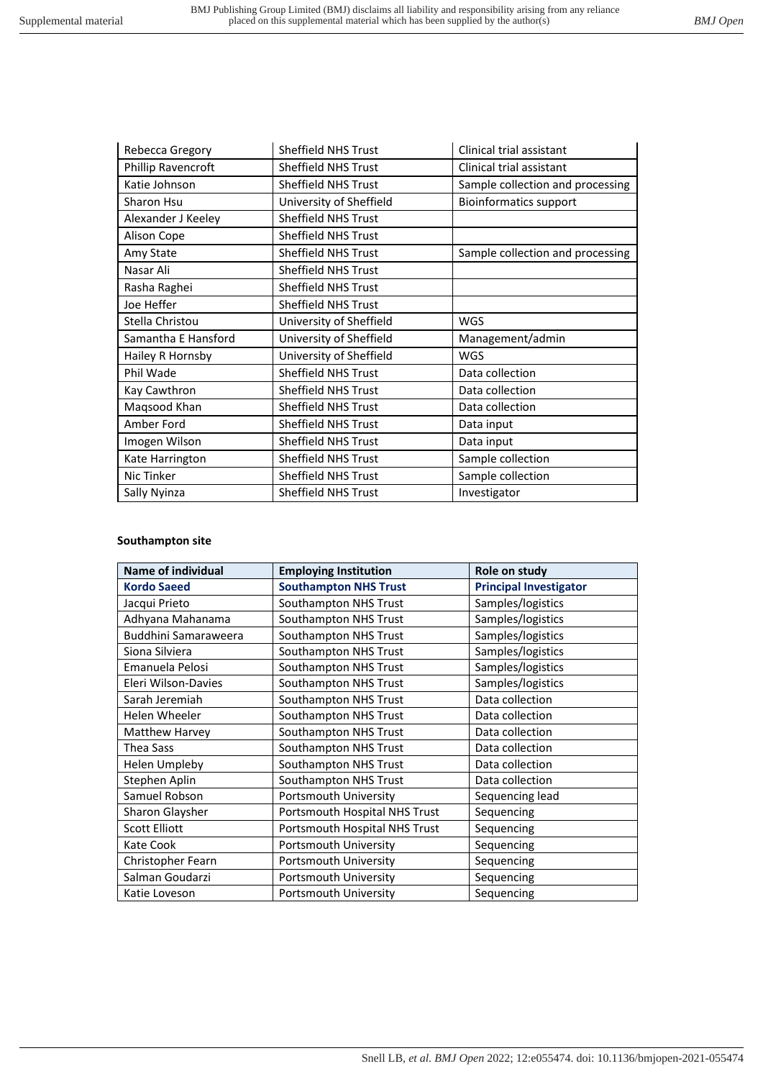| Rebecca Gregory     | Sheffield NHS Trust        | Clinical trial assistant         |
|---------------------|----------------------------|----------------------------------|
| Phillip Ravencroft  | <b>Sheffield NHS Trust</b> | Clinical trial assistant         |
| Katie Johnson       | <b>Sheffield NHS Trust</b> | Sample collection and processing |
| Sharon Hsu          | University of Sheffield    | <b>Bioinformatics support</b>    |
| Alexander J Keeley  | Sheffield NHS Trust        |                                  |
| Alison Cope         | <b>Sheffield NHS Trust</b> |                                  |
| Amy State           | <b>Sheffield NHS Trust</b> | Sample collection and processing |
| Nasar Ali           | <b>Sheffield NHS Trust</b> |                                  |
| Rasha Raghei        | <b>Sheffield NHS Trust</b> |                                  |
| Joe Heffer          | <b>Sheffield NHS Trust</b> |                                  |
| Stella Christou     | University of Sheffield    | <b>WGS</b>                       |
| Samantha E Hansford | University of Sheffield    | Management/admin                 |
| Hailey R Hornsby    | University of Sheffield    | WGS                              |
| Phil Wade           | <b>Sheffield NHS Trust</b> | Data collection                  |
| Kay Cawthron        | <b>Sheffield NHS Trust</b> | Data collection                  |
| Magsood Khan        | Sheffield NHS Trust        | Data collection                  |
| Amber Ford          | Sheffield NHS Trust        | Data input                       |
| Imogen Wilson       | <b>Sheffield NHS Trust</b> | Data input                       |
| Kate Harrington     | <b>Sheffield NHS Trust</b> | Sample collection                |
| Nic Tinker          | <b>Sheffield NHS Trust</b> | Sample collection                |
| Sally Nyinza        | <b>Sheffield NHS Trust</b> | Investigator                     |

## **Southampton site**

| Name of individual   | <b>Employing Institution</b>  | Role on study                 |
|----------------------|-------------------------------|-------------------------------|
| <b>Kordo Saeed</b>   | <b>Southampton NHS Trust</b>  | <b>Principal Investigator</b> |
| Jacqui Prieto        | Southampton NHS Trust         | Samples/logistics             |
| Adhyana Mahanama     | Southampton NHS Trust         | Samples/logistics             |
| Buddhini Samaraweera | Southampton NHS Trust         | Samples/logistics             |
| Siona Silviera       | Southampton NHS Trust         | Samples/logistics             |
| Emanuela Pelosi      | Southampton NHS Trust         | Samples/logistics             |
| Eleri Wilson-Davies  | Southampton NHS Trust         | Samples/logistics             |
| Sarah Jeremiah       | Southampton NHS Trust         | Data collection               |
| Helen Wheeler        | Southampton NHS Trust         | Data collection               |
| Matthew Harvey       | Southampton NHS Trust         | Data collection               |
| Thea Sass            | Southampton NHS Trust         | Data collection               |
| <b>Helen Umpleby</b> | Southampton NHS Trust         | Data collection               |
| Stephen Aplin        | Southampton NHS Trust         | Data collection               |
| Samuel Robson        | Portsmouth University         | Sequencing lead               |
| Sharon Glaysher      | Portsmouth Hospital NHS Trust | Sequencing                    |
| <b>Scott Elliott</b> | Portsmouth Hospital NHS Trust | Sequencing                    |
| Kate Cook            | Portsmouth University         | Sequencing                    |
| Christopher Fearn    | Portsmouth University         | Sequencing                    |
| Salman Goudarzi      | Portsmouth University         | Sequencing                    |
| Katie Loveson        | Portsmouth University         | Sequencing                    |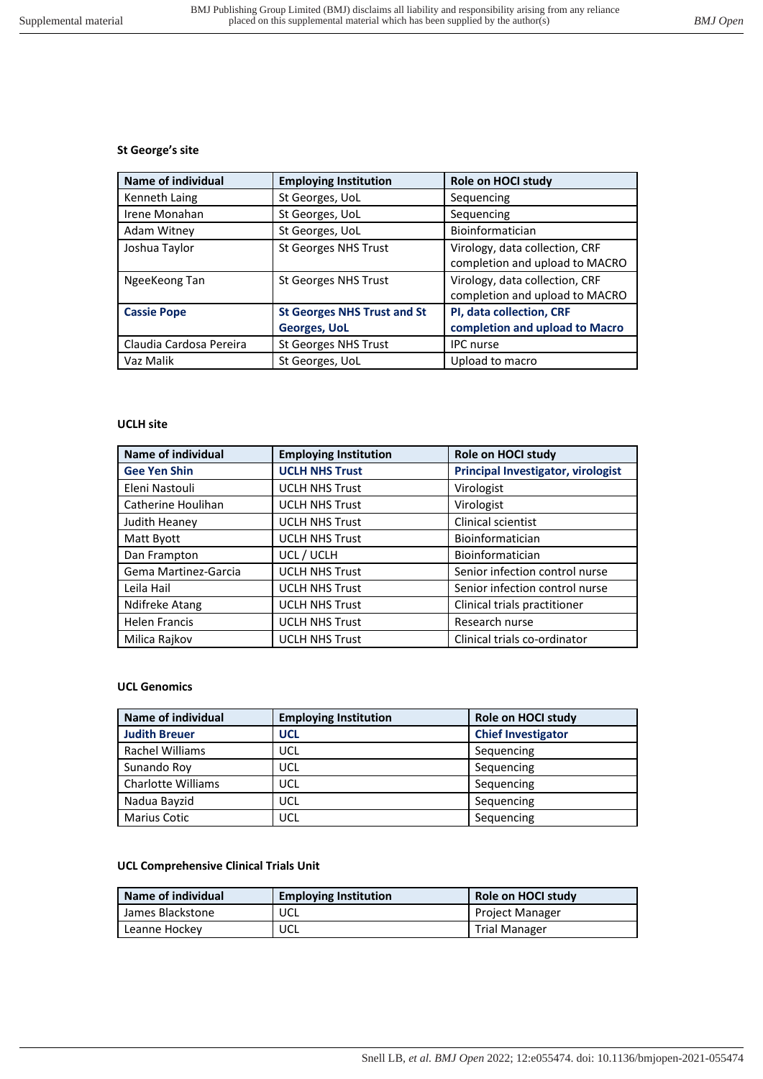### **St George's site**

| Name of individual      | <b>Employing Institution</b>                              | Role on HOCI study                                               |
|-------------------------|-----------------------------------------------------------|------------------------------------------------------------------|
| Kenneth Laing           | St Georges, UoL                                           | Sequencing                                                       |
| Irene Monahan           | St Georges, UoL                                           | Sequencing                                                       |
| Adam Witney             | St Georges, UoL                                           | Bioinformatician                                                 |
| Joshua Taylor           | St Georges NHS Trust                                      | Virology, data collection, CRF<br>completion and upload to MACRO |
| NgeeKeong Tan           | St Georges NHS Trust                                      | Virology, data collection, CRF<br>completion and upload to MACRO |
| <b>Cassie Pope</b>      | <b>St Georges NHS Trust and St</b><br><b>Georges, UoL</b> | PI, data collection, CRF<br>completion and upload to Macro       |
| Claudia Cardosa Pereira | St Georges NHS Trust                                      | <b>IPC</b> nurse                                                 |
| Vaz Malik               | St Georges, UoL                                           | Upload to macro                                                  |

### **UCLH site**

| <b>Name of individual</b> | <b>Employing Institution</b> | Role on HOCI study                 |
|---------------------------|------------------------------|------------------------------------|
| <b>Gee Yen Shin</b>       | <b>UCLH NHS Trust</b>        | Principal Investigator, virologist |
| Eleni Nastouli            | <b>UCLH NHS Trust</b>        | Virologist                         |
| Catherine Houlihan        | <b>UCLH NHS Trust</b>        | Virologist                         |
| Judith Heaney             | <b>UCLH NHS Trust</b>        | Clinical scientist                 |
| Matt Byott                | <b>UCLH NHS Trust</b>        | Bioinformatician                   |
| Dan Frampton              | UCL / UCLH                   | Bioinformatician                   |
| Gema Martinez-Garcia      | <b>UCLH NHS Trust</b>        | Senior infection control nurse     |
| Leila Hail                | <b>UCLH NHS Trust</b>        | Senior infection control nurse     |
| Ndifreke Atang            | <b>UCLH NHS Trust</b>        | Clinical trials practitioner       |
| <b>Helen Francis</b>      | <b>UCLH NHS Trust</b>        | Research nurse                     |
| Milica Rajkov             | <b>UCLH NHS Trust</b>        | Clinical trials co-ordinator       |

### **UCL Genomics**

| Name of individual        | <b>Employing Institution</b> | Role on HOCI study        |
|---------------------------|------------------------------|---------------------------|
| <b>Judith Breuer</b>      | <b>UCL</b>                   | <b>Chief Investigator</b> |
| Rachel Williams           | UCL                          | Sequencing                |
| Sunando Roy               | UCL                          | Sequencing                |
| <b>Charlotte Williams</b> | UCL                          | Sequencing                |
| Nadua Bayzid              | UCL                          | Sequencing                |
| <b>Marius Cotic</b>       | UCL                          | Sequencing                |

## **UCL Comprehensive Clinical Trials Unit**

| Name of individual | <b>Employing Institution</b> | Role on HOCI study     |
|--------------------|------------------------------|------------------------|
| James Blackstone   | UCL                          | <b>Project Manager</b> |
| Leanne Hockey      | UCL                          | <b>Trial Manager</b>   |